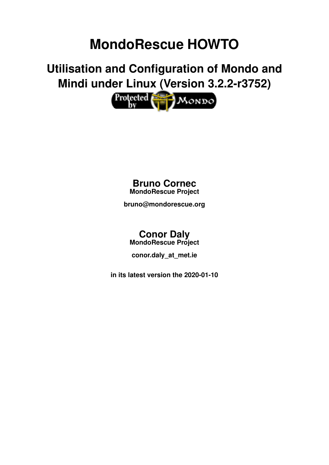# **MondoRescue HOWTO**

**Utilisation and Configuration of Mondo and Mindi under Linux (Version 3.2.2-r3752)**



### **Bruno Cornec MondoRescue Project**

**bruno@mondorescue.org**

# **Conor Daly**

**MondoRescue Project**

**conor.daly\_at\_met.ie**

**in its latest version the 2020-01-10**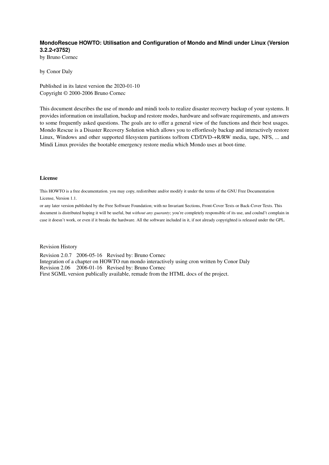#### **MondoRescue HOWTO: Utilisation and Configuration of Mondo and Mindi under Linux (Version 3.2.2-r3752)**

by Bruno Cornec

by Conor Daly

Published in its latest version the 2020-01-10 Copyright © 2000-2006 Bruno Cornec

This document describes the use of mondo and mindi tools to realize disaster recovery backup of your systems. It provides information on installation, backup and restore modes, hardware and software requirements, and answers to some frequently asked questions. The goals are to offer a general view of the functions and their best usages. Mondo Rescue is a Disaster Recovery Solution which allows you to effortlessly backup and interactively restore Linux, Windows and other supported filesystem partitions to/from CD/DVD-+R/RW media, tape, NFS, ... and Mindi Linux provides the bootable emergency restore media which Mondo uses at boot-time.

#### License

This HOWTO is a free documentation. you may copy, redistribute and/or modify it under the terms of the [GNU Free Documentation](#page-43-0) [License, Version 1.1.](#page-43-0)

or any later version published by the Free Software Foundation; with no Invariant Sections, Front-Cover Texts or Back-Cover Texts. This document is distributed hoping it will be useful, but *without any guaranty*; you're completely responsible of its use, and coulnd't complain in case it doesn't work, or even if it breaks the hardware. All the software included in it, if not already copyrighted is released under the GPL.

Revision History

Revision 2.0.7 2006-05-16 Revised by: Bruno Cornec Integration of a chapter on HOWTO run mondo interactively using cron written by Conor Daly Revision 2.06 2006-01-16 Revised by: Bruno Cornec First SGML version publically available, remade from the HTML docs of the project.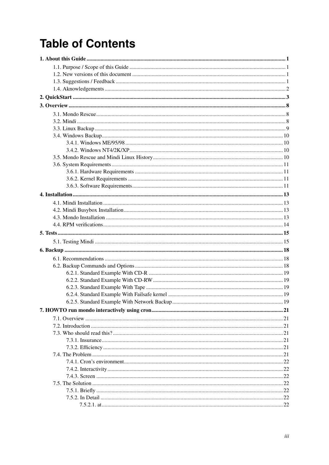# **Table of Contents**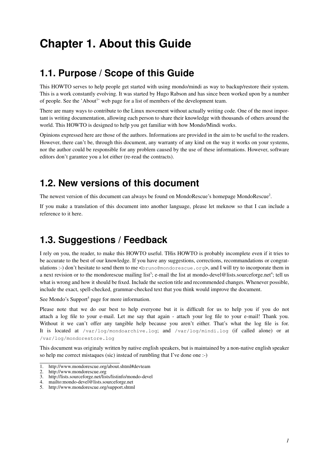# <span id="page-4-0"></span>**Chapter 1. About this Guide**

### <span id="page-4-1"></span>**1.1. Purpose / Scope of this Guide**

This HOWTO serves to help people get started with using mondo/mindi as way to backup/restore their system. This is a work constantly evolving. It was started by Hugo Rabson and has since been worked upon by a number of people. See the 'About<sup>1</sup>' web page for a list of members of the development team.

There are many ways to contribute to the Linux movement without actually writing code. One of the most important is writing documentation, allowing each person to share their knowledge with thousands of others around the world. This HOWTO is designed to help you get familiar with how Mondo/Mindi works.

Opinions expressed here are those of the authors. Informations are provided in the aim to be useful to the readers. However, there can't be, through this document, any warranty of any kind on the way it works on your systems, nor the author could be responsible for any problem caused by the use of these informations. However, software editors don't garantee you a lot either (re-read the contracts).

### <span id="page-4-2"></span>**1.2. New versions of this document**

The newest version of this document can always be found on MondoRescue's homepage MondoRescue<sup>2</sup>.

<span id="page-4-3"></span>If you make a translation of this document into another language, please let meknow so that I can include a reference to it here.

## **1.3. Suggestions / Feedback**

I rely on you, the reader, to make this HOWTO useful. THis HOWTO is probably incomplete even if it tries to be accurate to the best of our knowledge. If you have any suggestions, corrections, recommandations or congratulations :-) don't hesitate to send them to me <br/> $\leq$   $\leq$   $\leq$   $\leq$   $\leq$   $\leq$   $\leq$   $\leq$   $\leq$   $\leq$   $\leq$   $\leq$   $\leq$   $\leq$   $\leq$   $\leq$   $\leq$   $\leq$   $\leq$   $\leq$   $\leq$   $\leq$   $\leq$   $\leq$   $\leq$   $\leq$   $\leq$   $\leq$   $\$ a next revision or to the mondorescue mailing list<sup>3</sup>; e-mail the list at mondo-devel@lists.sourceforge.net<sup>4</sup>; tell us what is wrong and how it should be fixed. Include the section title and recommended changes. Whenever possible, include the exact, spell-checked, grammar-checked text that you think would improve the document.

See Mondo's Support<sup>5</sup> page for more information.

Please note that we do our best to help everyone but it is difficult for us to help you if you do not attach a log file to your e-mail. Let me say that again - attach your log file to your e-mail! Thank you. Without it we can't offer any tangible help because you aren't either. That's what the log file is for. It is located at /var/log/mondoarchive.log; and /var/log/mindi.log (if called alone) or at /var/log/mondorestore.log

This document was originaly written by native english speakers, but is maintained by a non-native english speaker so help me correct mistaques (sic) instead of rumbling that I've done one :-)

<sup>1.</sup> http://www.mondorescue.org/about.shtml#devteam

<sup>2.</sup> http://www.mondorescue.org

<sup>3.</sup> http://lists.sourceforge.net/lists/listinfo/mondo-devel

<sup>4.</sup> mailto:mondo-devel@lists.sourceforge.net

<sup>5.</sup> http://www.mondorescue.org/support.shtml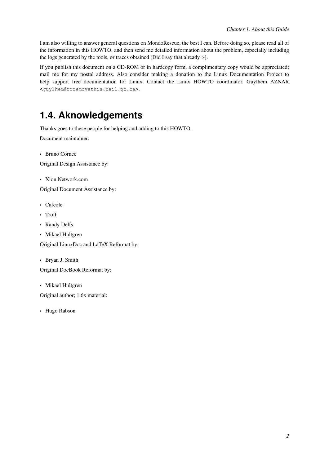I am also willing to answer general questions on MondoRescue, the best I can. Before doing so, please read all of the information in this HOWTO, and then send me detailed information about the problem, especially including the logs generated by the tools, or traces obtained (Did I say that already :-].

If you publish this document on a CD-ROM or in hardcopy form, a complimentary copy would be appreciated; mail me for my postal address. Also consider making a donation to the Linux Documentation Project to help support free documentation for Linux. Contact the Linux HOWTO coordinator, Guylhem AZNAR <guylhem@rrremovethis.oeil.qc.ca>.

## <span id="page-5-0"></span>**1.4. Aknowledgements**

Thanks goes to these people for helping and adding to this HOWTO.

Document maintainer:

• Bruno Cornec

Original Design Assistance by:

• Xion Network.com

Original Document Assistance by:

- Cafeole
- Troff
- Randy Delfs
- Mikael Hultgren

Original LinuxDoc and LaTeX Reformat by:

• Bryan J. Smith

Original DocBook Reformat by:

• Mikael Hultgren

Original author; 1.6x material:

• Hugo Rabson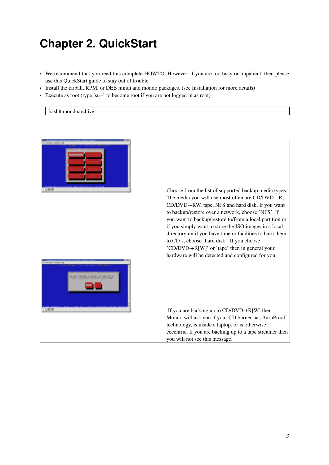# <span id="page-6-0"></span>**Chapter 2. QuickStart**

- We recommend that you read this complete HOWTO. However, if you are too busy or impatient, then please use this QuickStart guide to stay out of trouble.
- Install the tarball, RPM, or DEB mindi and mondo packages. (see [Installation](#page-16-0) for more details)
- Execute as root (type 'su -' to become root if you are not logged in as root)

bash# mondoarchive

| 印表语  | Choose from the list of supported backup media types.                                                  |
|------|--------------------------------------------------------------------------------------------------------|
|      | The media you will use most often are CD/DVD-+R,                                                       |
|      | CD/DVD-+RW, tape, NFS and hard disk. If you want                                                       |
|      | to backup/restore over a network, choose 'NFS'. If                                                     |
|      | you want to backup/restore to/from a local partition or                                                |
|      | if you simply want to store the ISO images in a local                                                  |
|      | directory until you have time or facilities to burn them<br>to CD's, choose 'hard disk'. If you choose |
|      | 'CD/DVD-+R[W]' or 'tape' then in general your                                                          |
|      | hardware will be detected and configured for you.                                                      |
|      |                                                                                                        |
| 1.66 | If you are backing up to $CD/DVD+R[W]$ then                                                            |
|      | Mondo will ask you if your CD burner has BurnProof                                                     |
|      | technology, is inside a laptop, or is otherwise                                                        |
|      | eccentric. If you are backing up to a tape streamer then                                               |
|      | you will not see this message.                                                                         |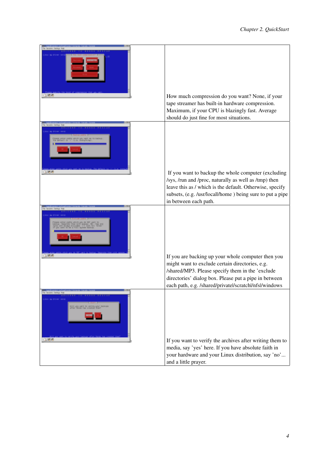|      | How much compression do you want? None, if your<br>tape streamer has built-in hardware compression.<br>Maximum, if your CPU is blazingly fast. Average                                                                                                         |
|------|----------------------------------------------------------------------------------------------------------------------------------------------------------------------------------------------------------------------------------------------------------------|
|      | should do just fine for most situations.                                                                                                                                                                                                                       |
|      | If you want to backup the whole computer (excluding<br>/sys, /run and /proc, naturally as well as /tmp) then<br>leave this as / which is the default. Otherwise, specify<br>subsets, (e.g. /usr/locall/home) being sure to put a pipe<br>in between each path. |
| 1.55 | If you are backing up your whole computer then you<br>might want to exclude certain directories, e.g.<br>/shared/MP3. Please specify them in the 'exclude<br>directories' dialog box. Please put a pipe in between                                             |
|      | each path, e.g. /shared/privatel/scratchl/nfsl/windows                                                                                                                                                                                                         |
| 0.55 | If you want to verify the archives after writing them to                                                                                                                                                                                                       |
|      | media, say 'yes' here. If you have absolute faith in<br>your hardware and your Linux distribution, say 'no'<br>and a little prayer.                                                                                                                            |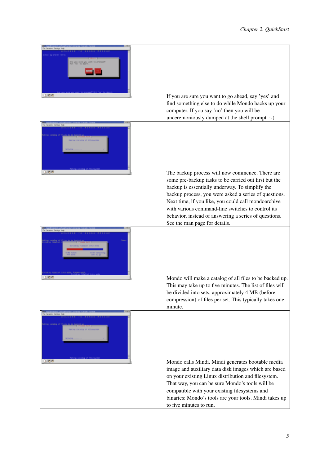| 山地市                | If you are sure you want to go ahead, say 'yes' and<br>find something else to do while Mondo backs up your<br>computer. If you say 'no' then you will be<br>unceremoniously dumped at the shell prompt. :-)                                                                                                                                                                                                                |
|--------------------|----------------------------------------------------------------------------------------------------------------------------------------------------------------------------------------------------------------------------------------------------------------------------------------------------------------------------------------------------------------------------------------------------------------------------|
|                    |                                                                                                                                                                                                                                                                                                                                                                                                                            |
| 0.58               | The backup process will now commence. There are<br>some pre-backup tasks to be carried out first but the<br>backup is essentially underway. To simplify the<br>backup process, you were asked a series of questions.<br>Next time, if you like, you could call mondoarchive<br>with various command-line switches to control its<br>behavior, instead of answering a series of questions.<br>See the man page for details. |
|                    |                                                                                                                                                                                                                                                                                                                                                                                                                            |
|                    | Mondo will make a catalog of all files to be backed up.<br>This may take up to five minutes. The list of files will<br>be divided into sets, approximately 4 MB (before<br>compression) of files per set. This typically takes one<br>minute.                                                                                                                                                                              |
| Fla designs dening |                                                                                                                                                                                                                                                                                                                                                                                                                            |
| 0.66               | Mondo calls Mindi. Mindi generates bootable media<br>image and auxiliary data disk images which are based<br>on your existing Linux distribution and filesystem.<br>That way, you can be sure Mondo's tools will be<br>compatible with your existing filesystems and<br>binaries: Mondo's tools are your tools. Mindi takes up<br>to five minutes to run.                                                                  |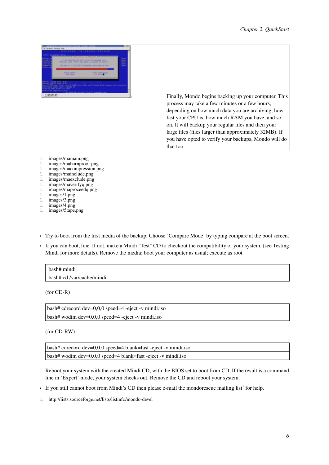| I an hardcorp up your 2008 Fliesystem mu-<br>Plases vert . This has been a rounds of hours.<br>Ind.com is a party that has been produced and one fire |                 | 噩 |                                                                                                                                                                                                                                                                                                                                                                                         |
|-------------------------------------------------------------------------------------------------------------------------------------------------------|-----------------|---|-----------------------------------------------------------------------------------------------------------------------------------------------------------------------------------------------------------------------------------------------------------------------------------------------------------------------------------------------------------------------------------------|
| 0.06.14-4                                                                                                                                             | <b>TROPINAL</b> |   |                                                                                                                                                                                                                                                                                                                                                                                         |
|                                                                                                                                                       |                 |   | Finally, Mondo begins backing up your computer. This<br>process may take a few minutes or a few hours,<br>depending on how much data you are archiving, how<br>fast your CPU is, how much RAM you have, and so<br>on. It will backup your regular files and then your<br>large files (files larger than approximately 32MB). If<br>you have opted to verify your backups, Mondo will do |
|                                                                                                                                                       |                 |   | that too.                                                                                                                                                                                                                                                                                                                                                                               |

- 1. images/mamain.png
- 1. images/maburnproof.png
- 1. images/macompression.png
- 1. images/mainclude.png
- 1. images/maexclude.png
- 1. images/maverifyq.png
- 1. images/maproceedq.png
- 1. images/1.png
- 1. images/3.png
- 1. images/4.png 1. images/5tape.png
- Try to boot from the first media of the backup. Choose 'Compare Mode' by typing compare at the boot screen.
- If you can boot, fine. If not, make a Mindi "Test" CD to checkout the compatibility of your system. (see [Testing](#page-18-1) [Mindi](#page-18-1) for more details). Remove the media; boot your computer as usual; execute as root

| bash# mindi               |  |
|---------------------------|--|
| bash# cd /var/cache/mindi |  |

(for CD-R)

| $bash\#$ cdrecord dev=0,0,0 speed=4 -eject -v mindi.iso |
|---------------------------------------------------------|
| bash# wodim $dev=0,0,0$ speed=4 -eject -v mindi.iso     |

(for CD-RW)

| $bash\#$ cdrecord dev=0,0,0 speed=4 blank=fast -eject -v mindi.iso |  |
|--------------------------------------------------------------------|--|
| $bash#$ wodim $dev=0.0.0$ speed=4 blank=fast -eject -v mindi.iso   |  |

Reboot your system with the created Mindi CD, with the BIOS set to boot from CD. If the result is a command line in 'Expert' mode, your system checks out. Remove the CD and reboot your system.

• If you still cannot boot from Mindi's CD then please e-mail the mondorescue mailing list<sup>1</sup> for help.

<sup>1.</sup> http://lists.sourceforge.net/lists/listinfo/mondo-devel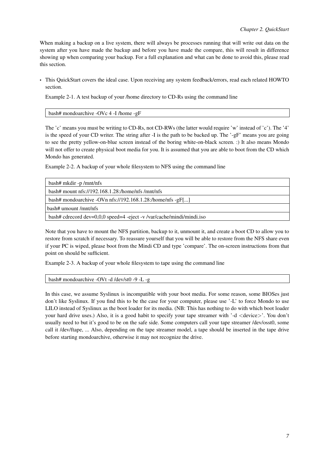When making a backup on a live system, there will always be processes running that will write out data on the system after you have made the backup and before you have made the compare, this will result in difference showing up when comparing your backup. For a full explanation and what can be done to avoid this, please read this section.

• This QuickStart covers the ideal case. Upon receiving any system feedback/errors, read each related HOWTO section.

Example 2-1. A test backup of your /home directory to CD-Rs using the command line

bash# mondoarchive -OVc 4 -I /home -gF

The 'c' means you must be writing to CD-Rs, not CD-RWs (the latter would require 'w' instead of 'c'). The '4' is the speed of your CD writer. The string after -I is the path to be backed up. The '-gF' means you are going to see the pretty yellow-on-blue screen instead of the boring white-on-black screen. :) It also means Mondo will not offer to create physical boot media for you. It is assumed that you are able to boot from the CD which Mondo has generated.

Example 2-2. A backup of your whole filesystem to NFS using the command line

| bash# mkdir -p/mnt/nfs                                                |
|-----------------------------------------------------------------------|
| bash# mount $nfs$ ://192.168.1.28:/home/nfs/mnt/nfs                   |
| bash# mondoarchive -OVn nfs://192.168.1.28:/home/nfs -gF[]            |
| bash# umount/mnt/nfs                                                  |
| bash# cdrecord dev=0,0,0 speed=4 -eject -v /var/cache/mindi/mindi.iso |

Note that you have to mount the NFS partition, backup to it, unmount it, and create a boot CD to allow you to restore from scratch if necessary. To reassure yourself that you will be able to restore from the NFS share even if your PC is wiped, please boot from the Mindi CD and type 'compare'. The on-screen instructions from that point on should be sufficient.

Example 2-3. A backup of your whole filesystem to tape using the command line

```
bash# mondoarchive -OVt -d /dev/st0 -9 -L -g
```
In this case, we assume Syslinux is incompatible with your boot media. For some reason, some BIOSes just don't like Syslinux. If you find this to be the case for your computer, please use '-L' to force Mondo to use LILO instead of Syslinux as the boot loader for its media. (NB: This has nothing to do with which boot loader your hard drive uses.) Also, it is a good habit to specify your tape streamer with '-d <device>'. You don't usually need to but it's good to be on the safe side. Some computers call your tape streamer /dev/osst0, some call it /dev/ftape, ... Also, depending on the tape streamer model, a tape should be inserted in the tape drive before starting mondoarchive, otherwise it may not recognize the drive.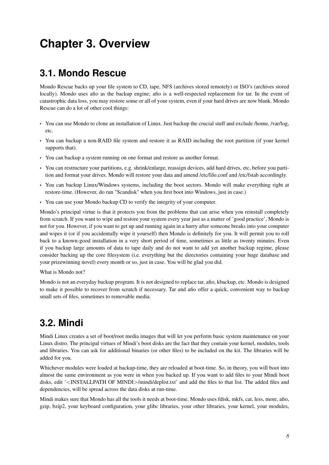# <span id="page-11-0"></span>**Chapter 3. Overview**

### <span id="page-11-1"></span>**3.1. Mondo Rescue**

Mondo Rescue backs up your file system to CD, tape, NFS (archives stored remotely) or ISO's (archives stored locally). Mondo uses afio as the backup engine; afio is a well-respected replacement for tar. In the event of catastrophic data loss, you may restore some or all of your system, even if your hard drives are now blank. Mondo Rescue can do a lot of other cool things:

- You can use Mondo to clone an installation of Linux. Just backup the crucial stuff and exclude /home, /var/log, etc.
- You can backup a non-RAID file system and restore it as RAID including the root partition (if your kernel supports that).
- You can backup a system running on one format and restore as another format.
- You can restructure your partitions, e.g. shrink/enlarge, reassign devices, add hard drives, etc, before you partition and format your drives. Mondo will restore your data and amend /etc/lilo.conf and /etc/fstab accordingly.
- You can backup Linux/Windows systems, including the boot sectors. Mondo will make everything right at restore-time. (However, do run "Scandisk" when you first boot into Windows, just in case.)
- You can use your Mondo backup CD to verify the integrity of your computer.

Mondo's principal virtue is that it protects you from the problems that can arise when you reinstall completely from scratch. If you want to wipe and restore your system every year just as a matter of 'good practice', Mondo is not for you. However, if you want to get up and running again in a hurry after someone breaks into your computer and wipes it (or if you accidentally wipe it yourself) then Mondo is definitely for you. It will permit you to roll back to a known-good installation in a very short period of time, sometimes as little as twenty minutes. Even if you backup large amounts of data to tape daily and do not want to add yet another backup regime, please consider backing up the core filesystem (i.e. everything but the directories containing your huge database and your prizewinning novel) every month or so, just in case. You will be glad you did.

What is Mondo not?

Mondo is not an everyday backup program. It is not designed to replace tar, afio, kbackup, etc. Mondo is designed to make it possible to recover from scratch if necessary. Tar and afio offer a quick, convenient way to backup small sets of files, sometimes to removable media.

## <span id="page-11-2"></span>**3.2. Mindi**

Mindi Linux creates a set of boot/root media images that will let you perform basic system maintenance on your Linux distro. The principal virtues of Mindi's boot disks are the fact that they contain your kernel, modules, tools and libraries. You can ask for additional binaries (or other files) to be included on the kit. The libraries will be added for you.

Whichever modules were loaded at backup-time, they are reloaded at boot-time. So, in theory, you will boot into almost the same environment as you were in when you backed up. If you want to add files to your Mindi boot disks, edit '<INSTALLPATH OF MINDI>/mindi/deplist.txt' and add the files to that list. The added files and dependencies, will be spread across the data disks at run-time.

Mindi makes sure that Mondo has all the tools it needs at boot-time. Mondo uses fdisk, mkfs, cat, less, more, afio, gzip, bzip2, your keyboard configuration, your glibc libraries, your other libraries, your kernel, your modules,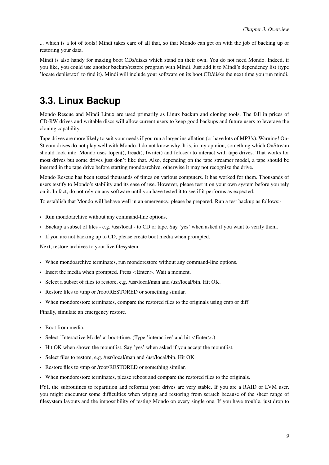... which is a lot of tools! Mindi takes care of all that, so that Mondo can get on with the job of backing up or restoring your data.

Mindi is also handy for making boot CDs/disks which stand on their own. You do not need Mondo. Indeed, if you like, you could use another backup/restore program with Mindi. Just add it to Mindi's dependency list (type 'locate deplist.txt' to find it). Mindi will include your software on its boot CD/disks the next time you run mindi.

## <span id="page-12-0"></span>**3.3. Linux Backup**

Mondo Rescue and Mindi Linux are used primarily as Linux backup and cloning tools. The fall in prices of CD-RW drives and writable discs will allow current users to keep good backups and future users to leverage the cloning capability.

Tape drives are more likely to suit your needs if you run a larger installation (or have lots of MP3's). Warning! On-Stream drives do not play well with Mondo. I do not know why. It is, in my opinion, something which OnStream should look into. Mondo uses fopen(), fread(), fwrite() and fclose() to interact with tape drives. That works for most drives but some drives just don't like that. Also, depending on the tape streamer model, a tape should be inserted in the tape drive before starting mondoarchive, otherwise it may not recognize the drive.

Mondo Rescue has been tested thousands of times on various computers. It has worked for them. Thousands of users testify to Mondo's stability and its ease of use. However, please test it on your own system before you rely on it. In fact, do not rely on any software until you have tested it to see if it performs as expected.

To establish that Mondo will behave well in an emergency, please be prepared. Run a test backup as follows:-

- Run mondoarchive without any command-line options.
- Backup a subset of files e.g. /usr/local to CD or tape. Say 'yes' when asked if you want to verify them.
- If you are not backing up to CD, please create boot media when prompted.

Next, restore archives to your live filesystem.

- When mondoarchive terminates, run mondorestore without any command-line options.
- Insert the media when prompted. Press <Enter>. Wait a moment.
- Select a subset of files to restore, e.g. /usr/local/man and /usr/local/bin. Hit OK.
- Restore files to /tmp or /root/RESTORED or something similar.
- When mondorestore terminates, compare the restored files to the originals using cmp or diff.

Finally, simulate an emergency restore.

- Boot from media.
- Select 'Interactive Mode' at boot-time. (Type 'interactive' and hit <Enter>.)
- Hit OK when shown the mountlist. Say 'yes' when asked if you accept the mountlist.
- Select files to restore, e.g. /usr/local/man and /usr/local/bin. Hit OK.
- Restore files to /tmp or /root/RESTORED or something similar.
- When mondorestore terminates, please reboot and compare the restored files to the originals.

FYI, the subroutines to repartition and reformat your drives are very stable. If you are a RAID or LVM user, you might encounter some difficulties when wiping and restoring from scratch because of the sheer range of filesystem layouts and the impossibility of testing Mondo on every single one. If you have trouble, just drop to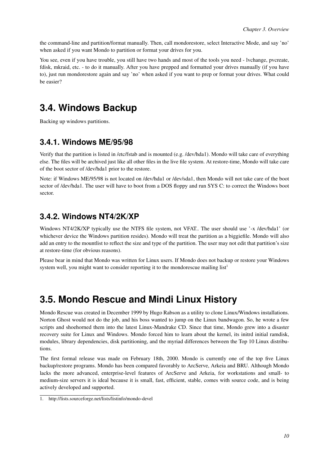<span id="page-13-4"></span>the command-line and partition/format manually. Then, call mondorestore, select Interactive Mode, and say 'no' when asked if you want Mondo to partition or format your drives for you.

You see, even if you have trouble, you still have two hands and most of the tools you need - lvchange, pvcreate, fdisk, mkraid, etc. - to do it manually. After you have prepped and formatted your drives manually (if you have to), just run mondorestore again and say 'no' when asked if you want to prep or format your drives. What could be easier?

## <span id="page-13-0"></span>**3.4. Windows Backup**

<span id="page-13-1"></span>Backing up windows partitions.

### **3.4.1. Windows ME/95/98**

Verify that the partition is listed in /etc/fstab and is mounted (e.g. /dev/hda1). Mondo will take care of everything else. The files will be archived just like all other files in the live file system. At restore-time, Mondo will take care of the boot sector of /dev/hda1 prior to the restore.

Note: if Windows ME/95/98 is not located on /dev/hda1 or /dev/sda1, then Mondo will not take care of the boot sector of /dev/hda1. The user will have to boot from a DOS floppy and run SYS C: to correct the Windows boot sector.

### <span id="page-13-2"></span>**3.4.2. Windows NT4/2K/XP**

Windows NT4/2K/XP typically use the NTFS file system, not VFAT.. The user should use '-x /dev/hda1' (or whichever device the Windows partition resides). Mondo will treat the partition as a biggiefile. Mondo will also add an entry to the mountlist to reflect the size and type of the partition. The user may not edit that partition's size at restore-time (for obvious reasons).

Please bear in mind that Mondo was written for Linux users. If Mondo does not backup or restore your Windows system well, you might want to consider reporting it to the mondorescue mailing  $list<sup>1</sup>$ 

### <span id="page-13-3"></span>**3.5. Mondo Rescue and Mindi Linux History**

Mondo Rescue was created in December 1999 by Hugo Rabson as a utility to clone Linux/Windows installations. Norton Ghost would not do the job, and his boss wanted to jump on the Linux bandwagon. So, he wrote a few scripts and shoehorned them into the latest Linux-Mandrake CD. Since that time, Mondo grew into a disaster recovery suite for Linux and Windows. Mondo forced him to learn about the kernel, its initrd initial ramdisk, modules, library dependencies, disk partitioning, and the myriad differences between the Top 10 Linux distributions.

The first formal release was made on February 18th, 2000. Mondo is currently one of the top five Linux backup/restore programs. Mondo has been compared favorably to ArcServe, Arkeia and BRU. Although Mondo lacks the more advanced, enterprise-level features of ArcServe and Arkeia, for workstations and small- to medium-size servers it is ideal because it is small, fast, efficient, stable, comes with source code, and is being actively developed and supported.

<sup>1.</sup> http://lists.sourceforge.net/lists/listinfo/mondo-devel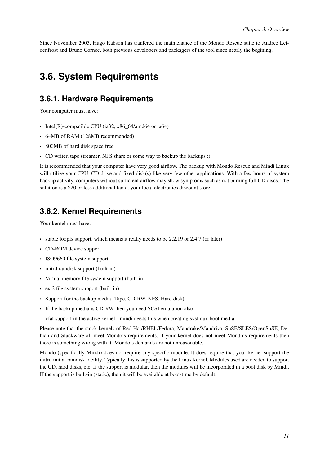Since November 2005, Hugo Rabson has tranfered the maintenance of the Mondo Rescue suite to Andree Leidenfrost and Bruno Cornec, both previous developers and packagers of the tool since nearly the begining.

### <span id="page-14-0"></span>**3.6. System Requirements**

### **3.6.1. Hardware Requirements**

Your computer must have:

- Intel(R)-compatible CPU (ia32, x86\_64/amd64 or ia64)
- 64MB of RAM (128MB recommended)
- 800MB of hard disk space free
- CD writer, tape streamer, NFS share or some way to backup the backups :)

It is recommended that your computer have very good airflow. The backup with Mondo Rescue and Mindi Linux will utilize your CPU, CD drive and fixed disk(s) like very few other applications. With a few hours of system backup activity, computers without sufficient airflow may show symptoms such as not burning full CD discs. The solution is a \$20 or less additional fan at your local electronics discount store.

### <span id="page-14-1"></span>**3.6.2. Kernel Requirements**

Your kernel must have:

- stable loopfs support, which means it really needs to be 2.2.19 or 2.4.7 (or later)
- CD-ROM device support
- ISO9660 file system support
- initrd ramdisk support (built-in)
- Virtual memory file system support (built-in)
- ext2 file system support (built-in)
- Support for the backup media (Tape, CD-RW, NFS, Hard disk)
- If the backup media is CD-RW then you need SCSI emulation also

vfat support in the active kernel - mindi needs this when creating syslinux boot media

Please note that the stock kernels of Red Hat/RHEL/Fedora, Mandrake/Mandriva, SuSE/SLES/OpenSuSE, Debian and Slackware all meet Mondo's requirements. If your kernel does not meet Mondo's requirements then there is something wrong with it. Mondo's demands are not unreasonable.

<span id="page-14-2"></span>Mondo (specifically Mindi) does not require any specific module. It does require that your kernel support the initrd initial ramdisk facility. Typically this is supported by the Linux kernel. Modules used are needed to support the CD, hard disks, etc. If the support is modular, then the modules will be incorporated in a boot disk by Mindi. If the support is built-in (static), then it will be available at boot-time by default.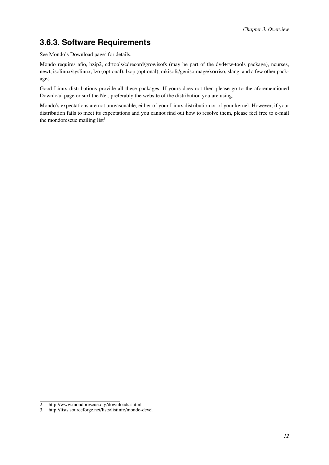### **3.6.3. Software Requirements**

See Mondo's Download page<sup>2</sup> for details.

Mondo requires afio, bzip2, cdrtools/cdrecord/growisofs (may be part of the dvd+rw-tools package), ncurses, newt, isolinux/syslinux, lzo (optional), lzop (optional), mkisofs/genisoimage/xorriso, slang, and a few other packages.

Good Linux distributions provide all these packages. If yours does not then please go to the aforementioned Download page or surf the Net, preferably the website of the distribution you are using.

Mondo's expectations are not unreasonable, either of your Linux distribution or of your kernel. However, if your distribution fails to meet its expectations and you cannot find out how to resolve them, please feel free to e-mail the mondorescue mailing list $3$ 

<sup>2.</sup> http://www.mondorescue.org/downloads.shtml

<sup>3.</sup> http://lists.sourceforge.net/lists/listinfo/mondo-devel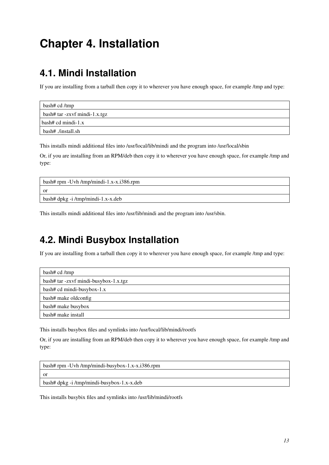# <span id="page-16-0"></span>**Chapter 4. Installation**

## <span id="page-16-1"></span>**4.1. Mindi Installation**

If you are installing from a tarball then copy it to wherever you have enough space, for example /tmp and type:

| bash# cd /tmp                 |
|-------------------------------|
| bash# tar -zxvf mindi-1.x.tgz |
| bash# cd mindi-1.x            |
| bash# ./install.sh            |

This installs mindi additional files into /usr/local/lib/mindi and the program into /usr/local/sbin

Or, if you are installing from an RPM/deb then copy it to wherever you have enough space, for example /tmp and type:

| $\mu$ bash# rpm -Uvh /tmp/mindi-1.x-x.i386.rpm |
|------------------------------------------------|
| or                                             |
| bash# dpkg -i /tmp/mindi-1.x-x.deb             |

<span id="page-16-2"></span>This installs mindi additional files into /usr/lib/mindi and the program into /usr/sbin.

## **4.2. Mindi Busybox Installation**

If you are installing from a tarball then copy it to wherever you have enough space, for example /tmp and type:

| bash# cd /tmp                         |
|---------------------------------------|
| bash# tar -zxvf mindi-busybox-1.x.tgz |
| bash# cd mindi-busybox-1.x            |
| bash# make oldconfig                  |
| bash# make busybox                    |
| bash# make install                    |

This installs busybox files and symlinks into /usr/local/lib/mindi/rootfs

Or, if you are installing from an RPM/deb then copy it to wherever you have enough space, for example /tmp and type:

| bash# rpm -Uvh /tmp/mindi-busybox-1.x-x.i386.rpm        |
|---------------------------------------------------------|
| ∣ or                                                    |
| $\frac{1}{2}$ bash# dpkg -i/tmp/mindi-busybox-1.x-x.deb |

<span id="page-16-3"></span>This installs busybix files and symlinks into /usr/lib/mindi/rootfs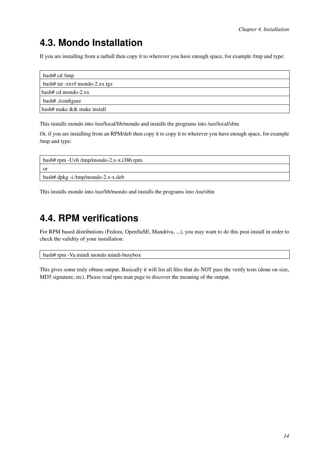## **4.3. Mondo Installation**

If you are installing from a tarball then copy it to wherever you have enough space, for example /tmp and type:

| bash# cd /tmp                  |
|--------------------------------|
| bash# tar -zxvf mondo-2.xx.tgz |
| $bash# cd \text{ mondo-}2$ .xx |
| bash# ./configure              |
| bash# make && make install     |

This installs mondo into /usr/local/lib/mondo and installs the programs into /usr/local/sbin

Or, if you are installing from an RPM/deb then copy it to copy it to wherever you have enough space, for example /tmp and type:

| bash# rpm -Uvh /tmp/mondo-2.x-x.i386.rpm        |
|-------------------------------------------------|
| - or                                            |
| $\frac{1}{2}$ bash# dpkg -i/tmp/mondo-2.x-x.deb |

<span id="page-17-0"></span>This installs mondo into /usr/lib/mondo and installs the programs into /usr/sbin

## **4.4. RPM verifications**

For RPM based distributions (Fedora, OpenSuSE, Mandriva, ...), you may want to do this post-install in order to check the validity of your installation:

bash# rpm -Va mindi mondo mindi-busybox

This gives some truly obtuse output. Basically it will list all files that do NOT pass the verify tests (done on size, MD5 signature, etc). Please read rpm man page to discover the meaning of the output.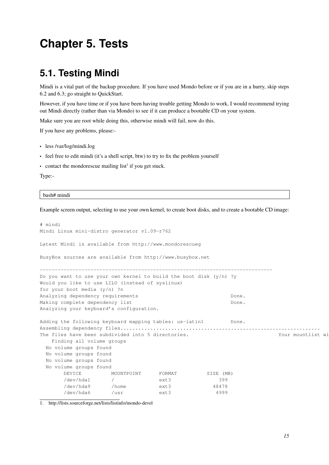# <span id="page-18-0"></span>**Chapter 5. Tests**

### <span id="page-18-1"></span>**5.1. Testing Mindi**

Mindi is a vital part of the backup procedure. If you have used Mondo before or if you are in a hurry, skip steps 6.2 and 6.3; go straight to QuickStart.

However, if you have time or if you have been having trouble getting Mondo to work, I would recommend trying out Mindi directly (rather than via Mondo) to see if it can produce a bootable CD on your system.

Make sure you are root while doing this, otherwise mindi will fail, now do this.

If you have any problems, please:-

- less /var/log/mindi.log
- feel free to edit mindi (it's a shell script, btw) to try to fix the problem yourself

• contact the mondorescue mailing list<sup>1</sup> if you get stuck.

Type:-

bash# mindi

Example screen output, selecting to use your own kernel, to create boot disks, and to create a bootable CD image:

```
# mindi
Mindi Linux mini-distro generator v1.09-r762
Latest Mindi is available from http://www.mondorescueg
BusyBox sources are available from http://www.busybox.net
          ------------------------------------------------------------------------------
Do you want to use your own kernel to build the boot disk (y/n) ?y
Would you like to use LILO (instead of syslinux)
for your boot media (y/n) ?n
Analyzing dependency requirements \BoxMaking complete dependency list example one.
Analyzing your keyboard's configuration.
Adding the following keyboard mapping tables: us-latin1 Done.
Assembling dependency files................................................................... Done.
The files have been subdivided into 5 directories. The state this will look like this will look like this:--
   Finding all volume groups
 No volume groups found
 No volume groups found
 No volume groups found
 No volume groups found
      DEVICE MOUNTPOINT FORMAT SIZE (MB)
       /dev/hda1 / ext3 399
       /dev/hda9 /home ext3 48478
       /dev/hda6 /usr ext3 4999
```
1. http://lists.sourceforge.net/lists/listinfo/mondo-devel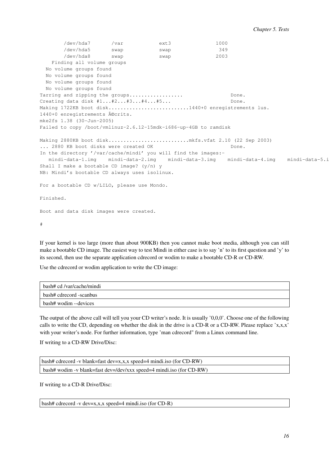/dev/hda7 /var ext3 1000 /dev/hda5 swap swap 349 /dev/hda8 swap swap 2003 Finding all volume groups No volume groups found No volume groups found No volume groups found No volume groups found Tarring and zipping the groups.................. Done. Creating data disk #1...#2...#3...#4...#5... Done. Making 1722KB boot disk...........................1440+0 enregistrements lus. 1440+0 enregistrements écrits. mke2fs 1.38 (30-Jun-2005) Failed to copy /boot/vmlinuz-2.6.12-15mdk-i686-up-4GB to ramdisk Making 2880KB boot disk...........................mkfs.vfat 2.10 (22 Sep 2003) ... 2880 KB boot disks were created OK Done. In the directory '/var/cache/mindi' you will find the images: mindi-data-1.img mindi-data-2.img mindi-data-3.img mindi-data-4.img mindi-data-5.i Shall I make a bootable CD image?  $(y/n)$  y NB: Mindi's bootable CD always uses isolinux. For a bootable CD w/LILO, please use Mondo. Finished. Boot and data disk images were created.

#

If your kernel is too large (more than about 900KB) then you cannot make boot media, although you can still make a bootable CD image. The easiest way to test Mindi in either case is to say 'n' to its first question and 'y' to its second, then use the separate application cdrecord or wodim to make a bootable CD-R or CD-RW.

Use the cdrecord or wodim application to write the CD image:

| bash# cd /var/cache/mindi |
|---------------------------|
| bash# cdrecord -scanbus   |
| bash# wodim --devices     |

The output of the above call will tell you your CD writer's node. It is usually '0,0,0'. Choose one of the following calls to write the CD, depending on whether the disk in the drive is a CD-R or a CD-RW. Please replace 'x,x,x' with your writer's node. For further information, type 'man cdrecord" from a Linux command line.

If writing to a CD-RW Drive/Disc:

| bash# cdrecord -v blank=fast dev=x,x,x speed=4 mindi.iso (for $CD-RW$ ) |
|-------------------------------------------------------------------------|
| bash# wodim -v blank=fast dev=/dev/xxx speed=4 mindi.iso (for CD-RW)    |

If writing to a CD-R Drive/Disc:

bash# cdrecord -v dev=x,x,x speed=4 mindi.iso (for CD-R)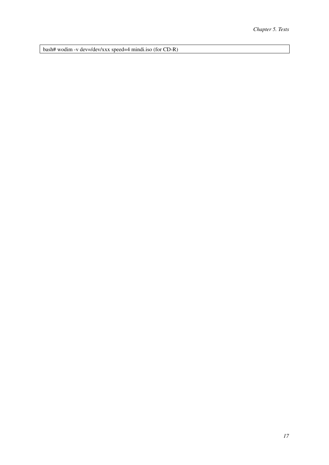bash# wodim -v dev=/dev/xxx speed=4 mindi.iso (for CD-R)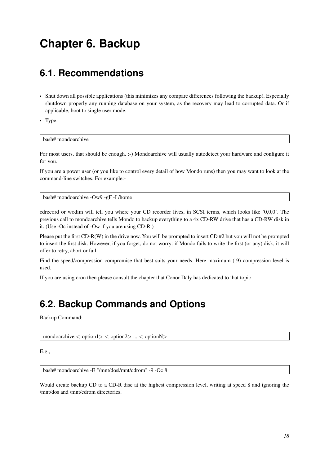# <span id="page-21-0"></span>**Chapter 6. Backup**

### <span id="page-21-1"></span>**6.1. Recommendations**

- Shut down all possible applications (this minimizes any compare differences following the backup). Especially shutdown properly any running database on your system, as the recovery may lead to corrupted data. Or if applicable, boot to single user mode.
- Type:

bash# mondoarchive

For most users, that should be enough. :-) Mondoarchive will usually autodetect your hardware and configure it for you.

If you are a power user (or you like to control every detail of how Mondo runs) then you may want to look at the command-line switches. For example:-

bash# mondoarchive -Ow9 -gF -I /home

cdrecord or wodim will tell you where your CD recorder lives, in SCSI terms, which looks like '0,0,0'. The previous call to mondoarchive tells Mondo to backup everything to a 4x CD-RW drive that has a CD-RW disk in it. (Use -Oc instead of -Ow if you are using CD-R.)

Please put the first CD-R(W) in the drive now. You will be prompted to insert CD #2 but you will not be prompted to insert the first disk. However, if you forget, do not worry: if Mondo fails to write the first (or any) disk, it will offer to retry, abort or fail.

Find the speed/compression compromise that best suits your needs. Here maximum (-9) compression level is used.

<span id="page-21-2"></span>If you are using cron then please consult the chapter that Conor Daly has dedicated to that [topic](#page-24-0)

### **6.2. Backup Commands and Options**

Backup Command:

mondoarchive <-option1> <-option2> ... <-optionN>

E.g.,

bash# mondoarchive -E "/mnt/dos|/mnt/cdrom" -9 -Oc 8

Would create backup CD to a CD-R disc at the highest compression level, writing at speed 8 and ignoring the /mnt/dos and /mnt/cdrom directories.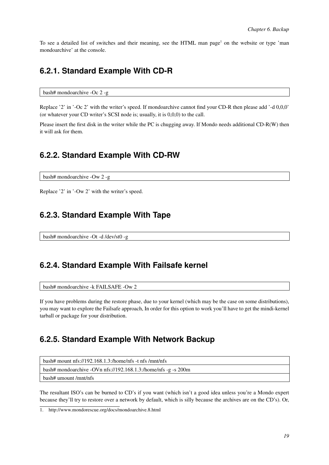<span id="page-22-0"></span>To see a detailed list of switches and their meaning, see the HTML man page<sup>1</sup> on the website or type 'man mondoarchive' at the console.

### **6.2.1. Standard Example With CD-R**

bash# mondoarchive -Oc 2 -g

Replace '2' in '-Oc 2' with the writer's speed. If mondoarchive cannot find your CD-R then please add '-d 0,0,0' (or whatever your CD writer's SCSI node is; usually, it is 0,0,0) to the call.

<span id="page-22-1"></span>Please insert the first disk in the writer while the PC is chugging away. If Mondo needs additional CD-R(W) then it will ask for them.

### **6.2.2. Standard Example With CD-RW**

bash# mondoarchive -Ow 2 -g

<span id="page-22-2"></span>Replace '2' in '-Ow 2' with the writer's speed.

### **6.2.3. Standard Example With Tape**

<span id="page-22-3"></span>bash# mondoarchive -Ot -d /dev/st0 -g

### **6.2.4. Standard Example With Failsafe kernel**

bash# mondoarchive -k FAILSAFE -Ow 2

If you have problems during the restore phase, due to your kernel (which may be the case on some distributions), you may want to explore the Failsafe approach, In order for this option to work you'll have to get the mindi-kernel tarball or package for your distribution.

### <span id="page-22-4"></span>**6.2.5. Standard Example With Network Backup**

| bash# mount $\frac{1}{5}$ ://192.168.1.3:/home/nfs -t nfs /mnt/nfs |
|--------------------------------------------------------------------|
| bash# mondoarchive -OVn nfs://192.168.1.3:/home/nfs -g -s 200m     |
| $\frac{1}{2}$ bash# umount /mnt/nfs                                |

The resultant ISO's can be burned to CD's if you want (which isn't a good idea unless you're a Mondo expert because they'll try to restore over a network by default, which is silly because the archives are on the CD's). Or,

<sup>1.</sup> http://www.mondorescue.org/docs/mondoarchive.8.html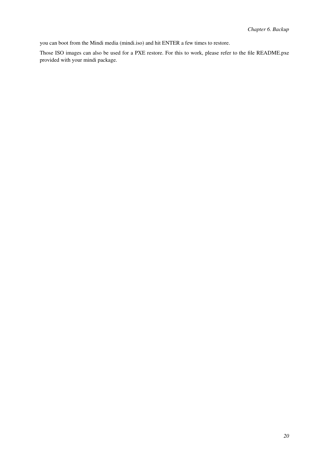you can boot from the Mindi media (mindi.iso) and hit ENTER a few times to restore.

Those ISO images can also be used for a PXE restore. For this to work, please refer to the file README.pxe provided with your mindi package.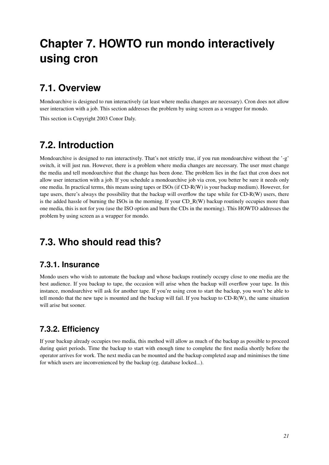# <span id="page-24-0"></span>**Chapter 7. HOWTO run mondo interactively using cron**

## <span id="page-24-1"></span>**7.1. Overview**

Mondoarchive is designed to run interactively (at least where media changes are necessary). Cron does not allow user interaction with a job. This section addresses the problem by using screen as a wrapper for mondo.

<span id="page-24-2"></span>This section is Copyright 2003 Conor Daly.

## **7.2. Introduction**

Mondoarchive is designed to run interactively. That's not strictly true, if you run mondoarchive without the '-g' switch, it will just run. However, there is a problem where media changes are necessary. The user must change the media and tell mondoarchive that the change has been done. The problem lies in the fact that cron does not allow user interaction with a job. If you schedule a mondoarchive job via cron, you better be sure it needs only one media. In practical terms, this means using tapes or ISOs (if CD-R(W) is your backup medium). However, for tape users, there's always the possibility that the backup will overflow the tape while for CD-R(W) users, there is the added hassle of burning the ISOs in the morning. If your CD\_R(W) backup routinely occupies more than one media, this is not for you (use the ISO option and burn the CDs in the morning). This HOWTO addresses the problem by using screen as a wrapper for mondo.

## <span id="page-24-4"></span><span id="page-24-3"></span>**7.3. Who should read this?**

### **7.3.1. Insurance**

Mondo users who wish to automate the backup and whose backups routinely occupy close to one media are the best audience. If you backup to tape, the occasion will arise when the backup will overflow your tape. In this instance, mondoarchive will ask for another tape. If you're using cron to start the backup, you won't be able to tell mondo that the new tape is mounted and the backup will fail. If you backup to CD-R(W), the same situation will arise but sooner.

### <span id="page-24-5"></span>**7.3.2. Efficiency**

<span id="page-24-6"></span>If your backup already occupies two media, this method will allow as much of the backup as possible to proceed during quiet periods. Time the backup to start with enough time to complete the first media shortly before the operator arrives for work. The next media can be mounted and the backup completed asap and minimises the time for which users are inconvenienced by the backup (eg. database locked...).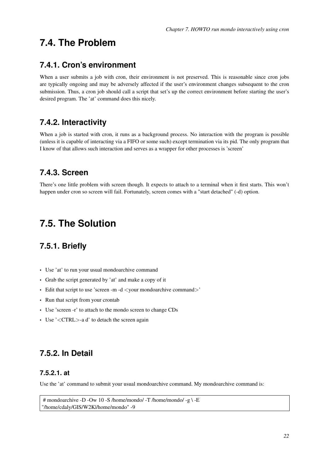### <span id="page-25-0"></span>**7.4. The Problem**

### **7.4.1. Cron's environment**

When a user submits a job with cron, their environment is not preserved. This is reasonable since cron jobs are typically ongoing and may be adversely affected if the user's environment changes subsequent to the cron submission. Thus, a cron job should call a script that set's up the correct environment before starting the user's desired program. The 'at' command does this nicely.

### <span id="page-25-1"></span>**7.4.2. Interactivity**

When a job is started with cron, it runs as a background process. No interaction with the program is possible (unless it is capable of interacting via a FIFO or some such) except termination via its pid. The only program that I know of that allows such interaction and serves as a wrapper for other processes is 'screen'

### <span id="page-25-2"></span>**7.4.3. Screen**

There's one little problem with screen though. It expects to attach to a terminal when it first starts. This won't happen under cron so screen will fail. Fortunately, screen comes with a "start detached" (-d) option.

### <span id="page-25-4"></span><span id="page-25-3"></span>**7.5. The Solution**

### **7.5.1. Briefly**

- Use 'at' to run your usual mondoarchive command
- Grab the script generated by 'at' and make a copy of it
- Edit that script to use 'screen -m -d <your mondoarchive command>'
- Run that script from your crontab
- Use 'screen -r' to attach to the mondo screen to change CDs
- Use '<CTRL>-a d' to detach the screen again

### <span id="page-25-6"></span><span id="page-25-5"></span>**7.5.2. In Detail**

#### **7.5.2.1. at**

Use the 'at' command to submit your usual mondoarchive command. My mondoarchive command is:

```
# mondoarchive -D -Ow 10 -S /home/mondo/ -T /home/mondo/ -g \ -E
"/home/cdaly/GIS/W2K|/home/mondo" -9
```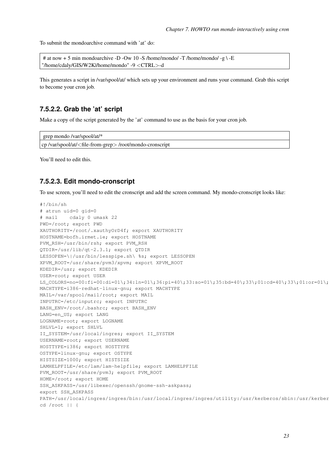To submit the mondoarchive command with 'at' do:

# at now  $+ 5$  min mondoarchive -D -Ow 10 -S /home/mondo/ -T /home/mondo/ -g \ -E "/home/cdaly/GIS/W2K|/home/mondo" -9 <CTRL>-d

This generates a script in /var/spool/at/ which sets up your environment and runs your command. Grab this script to become your cron job.

#### <span id="page-26-0"></span>**7.5.2.2. Grab the 'at' script**

Make a copy of the script generated by the 'at' command to use as the basis for your cron job.

```
grep mondo /var/spool/at/*
cp /var/spool/at/<file-from-grep> /root/mondo-cronscript
```
<span id="page-26-1"></span>You'll need to edit this.

#### **7.5.2.3. Edit mondo-cronscript**

To use screen, you'll need to edit the cronscript and add the screen command. My mondo-cronscript looks like:

```
#!/bin/sh
# atrun uid=0 gid=0
# mail cdaly 0 umask 22
PWD=/root; export PWD
XAUTHORITY=/root/.xauthyOrD4f; export XAUTHORITY
HOSTNAME=bofh.irmet.ie; export HOSTNAME
PVM_RSH=/usr/bin/rsh; export PVM_RSH
QTDIR=/usr/lib/qt-2.3.1; export QTDIR
LESSOPEN=\|/usr/bin/lesspipe.sh\ %s; export LESSOPEN
XPVM_ROOT=/usr/share/pvm3/xpvm; export XPVM_ROOT
KDEDIR=/usr; export KDEDIR
USER=root; export USER
LS\_COLORS = no = 00 : fi = 00 : di = 01 \; ; \; 34 : ln = 01 \; ; \; 36 : pi = 40 \; ; \; 33 : so = 01 \; ; \; 35 : bd = 40 \; ; \; 33 \; ; \; 01 : cd = 40 \; ; \; 33 \; ; \; 01 : oc = 01 \; ; \; 01 : bd = 01 \; ; \; 01 : bd = 01 \; ; \; 01 : bd = 01 \; ; \; 01 : bd = 01 \; ; \; 01 : bd = 01 \; ; \; 01 : bd = 01 \; ; \; 01 : bd = 0MACHTYPE=i386-redhat-linux-gnu; export MACHTYPE
MAIL=/var/spool/mail/root; export MAIL
INPUTRC=/etc/inputrc; export INPUTRC
BASH_ENV=/root/.bashrc; export BASH_ENV
LANG=en_US; export LANG
LOGNAME=root; export LOGNAME
SHLVL=1; export SHLVL
II_SYSTEM=/usr/local/ingres; export II_SYSTEM
USERNAME=root; export USERNAME
HOSTTYPE=i386; export HOSTTYPE
OSTYPE=linux-gnu; export OSTYPE
HISTSIZE=1000; export HISTSIZE
LAMHELPFILE=/etc/lam/lam-helpfile; export LAMHELPFILE
PVM_ROOT=/usr/share/pvm3; export PVM_ROOT
HOME=/root; export HOME
SSH_ASKPASS=/usr/libexec/openssh/gnome-ssh-askpass;
export SSH_ASKPASS
PATH=/usr/local/ingres/ingres/bin:/usr/local/ingres/ingres/utility:/usr/kerberos/sbin:/usr/kerber
cd /root || {
```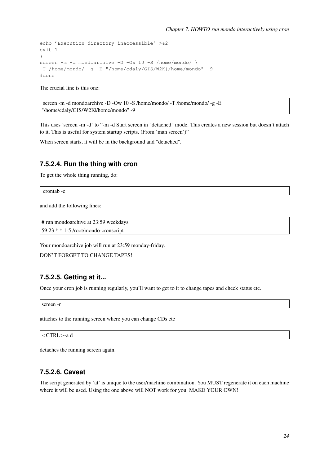```
echo 'Execution directory inaccessible' >&2
exit 1
}
screen -m -d mondoarchive -D -Ow 10 -S /home/mondo/ \
-T /home/mondo/ -g -E "/home/cdaly/GIS/W2K|/home/mondo" -9
#done
```
The crucial line is this one:

```
screen -m -d mondoarchive -D -Ow 10 -S /home/mondo/ -T /home/mondo/ -g -E
"/home/cdaly/GIS/W2K|/home/mondo" -9
```
This uses 'screen -m -d' to "-m -d Start screen in "detached" mode. This creates a new session but doesn't attach to it. This is useful for system startup scripts. (From 'man screen')"

<span id="page-27-0"></span>When screen starts, it will be in the background and "detached".

#### **7.5.2.4. Run the thing with cron**

To get the whole thing running, do:

crontab -e

and add the following lines:

```
# run mondoarchive at 23:59 weekdays
59 23 * * 1-5 /root/mondo-cronscript
```
Your mondoarchive job will run at 23:59 monday-friday.

```
DON'T FORGET TO CHANGE TAPES!
```
#### **7.5.2.5. Getting at it...**

Once your cron job is running regularly, you'll want to get to it to change tapes and check status etc.

screen -r

attaches to the running screen where you can change CDs etc

```
<CTRL>-a d
```
<span id="page-27-2"></span>detaches the running screen again.

### **7.5.2.6. Caveat**

The script generated by 'at' is unique to the user/machine combination. You MUST regenerate it on each machine where it will be used. Using the one above will NOT work for you. MAKE YOUR OWN!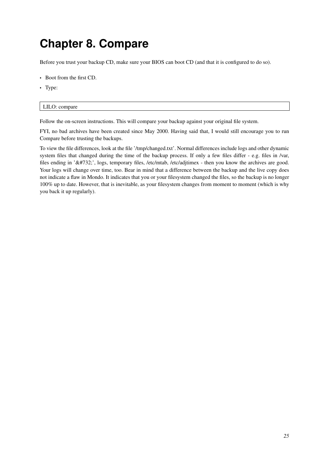# <span id="page-28-0"></span>**Chapter 8. Compare**

Before you trust your backup CD, make sure your BIOS can boot CD (and that it is configured to do so).

- Boot from the first CD.
- Type:

#### LILO: compare

Follow the on-screen instructions. This will compare your backup against your original file system.

FYI, no bad archives have been created since May 2000. Having said that, I would still encourage you to run Compare before trusting the backups.

To view the file differences, look at the file '/tmp/changed.txt'. Normal differences include logs and other dynamic system files that changed during the time of the backup process. If only a few files differ - e.g. files in /var, files ending in '˜', logs, temporary files, /etc/mtab, /etc/adjtimex - then you know the archives are good. Your logs will change over time, too. Bear in mind that a difference between the backup and the live copy does not indicate a flaw in Mondo. It indicates that you or your filesystem changed the files, so the backup is no longer 100% up to date. However, that is inevitable, as your filesystem changes from moment to moment (which is why you back it up regularly).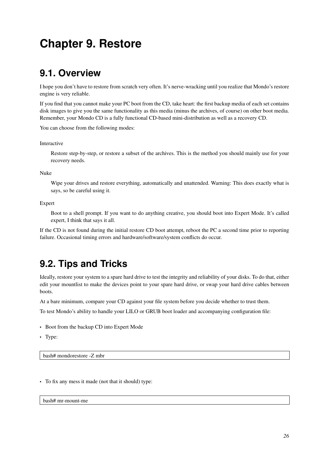# <span id="page-29-0"></span>**Chapter 9. Restore**

### <span id="page-29-1"></span>**9.1. Overview**

I hope you don't have to restore from scratch very often. It's nerve-wracking until you realize that Mondo's restore engine is very reliable.

If you find that you cannot make your PC boot from the CD, take heart: the first backup media of each set contains disk images to give you the same functionality as this media (minus the archives, of course) on other boot media. Remember, your Mondo CD is a fully functional CD-based mini-distribution as well as a recovery CD.

You can choose from the following modes:

#### Interactive

Restore step-by-step, or restore a subset of the archives. This is the method you should mainly use for your recovery needs.

Nuke

Wipe your drives and restore everything, automatically and unattended. Warning: This does exactly what is says, so be careful using it.

#### Expert

Boot to a shell prompt. If you want to do anything creative, you should boot into Expert Mode. It's called expert, I think that says it all.

<span id="page-29-2"></span>If the CD is not found during the initial restore CD boot attempt, reboot the PC a second time prior to reporting failure. Occasional timing errors and hardware/software/system conflicts do occur.

## **9.2. Tips and Tricks**

Ideally, restore your system to a spare hard drive to test the integrity and reliability of your disks. To do that, either edit your mountlist to make the devices point to your spare hard drive, or swap your hard drive cables between boots.

At a bare minimum, compare your CD against your file system before you decide whether to trust them.

To test Mondo's ability to handle your LILO or GRUB boot loader and accompanying configuration file:

- Boot from the backup CD into Expert Mode
- Type:

bash# mondorestore -Z mbr

• To fix any mess it made (not that it should) type:

bash# mr-mount-me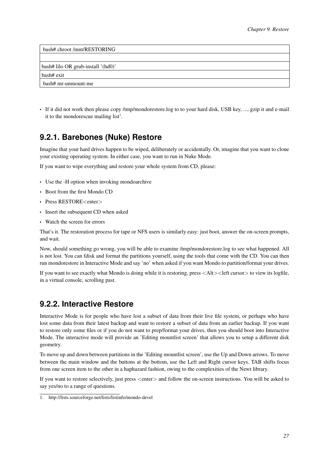| bash# chroot /mnt/RESTORING        |  |
|------------------------------------|--|
|                                    |  |
| bash# lilo OR grub-install '(hd0)' |  |
| bash# exit                         |  |
| bash# mr-unmount-me                |  |
|                                    |  |

<span id="page-30-0"></span>• If it did not work then please copy /tmp/mondorestore.log to to your hard disk, USB key, ..., gzip it and e-mail it to the mondorescue mailing  $list<sup>1</sup>$ .

### **9.2.1. Barebones (Nuke) Restore**

Imagine that your hard drives happen to be wiped, deliberately or accidentally. Or, imagine that you want to clone your existing operating system. In either case, you want to run in Nuke Mode.

If you want to wipe everything and restore your whole system from CD, please:

- Use the -H option when invoking mondoarchive
- Boot from the first Mondo CD
- Press RESTORE<enter>
- Insert the subsequent CD when asked
- Watch the screen for errors

That's it. The restoration process for tape or NFS users is similarly easy: just boot, answer the on-screen prompts, and wait.

Now, should something go wrong, you will be able to examine /tmp/mondorestore.log to see what happened. All is not lost. You can fdisk and format the partitions yourself, using the tools that come with the CD. You can then run mondorestore in Interactive Mode and say 'no' when asked if you want Mondo to partition/format your drives.

If you want to see exactly what Mondo is doing while it is restoring, press <Alt><left cursor> to view its logfile, in a virtual console, scrolling past.

### <span id="page-30-1"></span>**9.2.2. Interactive Restore**

Interactive Mode is for people who have lost a subset of data from their live file system, or perhaps who have lost some data from their latest backup and want to restore a subset of data from an earlier backup. If you want to restore only some files or if you do not want to prep/format your drives, then you should boot into Interactive Mode. The interactive mode will provide an 'Editing mountlist screen' that allows you to setup a different disk geometry.

To move up and down between partitions in the 'Editing mountlist screen', use the Up and Down arrows. To move between the main window and the buttons at the bottom, use the Left and Right cursor keys. TAB shifts focus from one screen item to the other in a haphazard fashion, owing to the complexities of the Newt library.

If you want to restore selectively, just press <enter> and follow the on-screen instructions. You will be asked to say yes/no to a range of questions.

<sup>1.</sup> http://lists.sourceforge.net/lists/listinfo/mondo-devel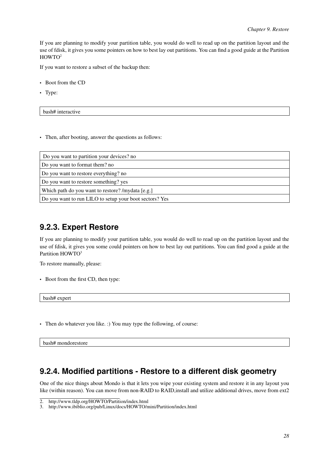If you are planning to modify your partition table, you would do well to read up on the partition layout and the use of fdisk, it gives you some pointers on how to best lay out partitions. You can find a good guide at the Partition HOWTO<sup>2</sup>

If you want to restore a subset of the backup then:

- Boot from the CD
- Type:

bash# interactive

• Then, after booting, answer the questions as follows:

| Do you want to partition your devices? no               |
|---------------------------------------------------------|
| Do you want to format them? no                          |
| Do you want to restore everything? no                   |
| Do you want to restore something? yes                   |
| Which path do you want to restore? /mydata [e.g.]       |
| Do you want to run LILO to setup your boot sectors? Yes |

### <span id="page-31-0"></span>**9.2.3. Expert Restore**

If you are planning to modify your partition table, you would do well to read up on the partition layout and the use of fdisk, it gives you some could pointers on how to best lay out partitions. You can find good a guide at the Partition HOWTO<sup>3</sup>

To restore manually, please:

• Boot from the first CD, then type:

bash# expert

• Then do whatever you like. :) You may type the following, of course:

<span id="page-31-1"></span>bash# mondorestore

### **9.2.4. Modified partitions - Restore to a different disk geometry**

One of the nice things about Mondo is that it lets you wipe your existing system and restore it in any layout you like (within reason). You can move from non-RAID to RAID,install and utilize additional drives, move from ext2

<sup>2.</sup> http://www.tldp.org/HOWTO/Partition/index.html

<sup>3.</sup> http://www.ibiblio.org/pub/Linux/docs/HOWTO/mini/Partition/index.html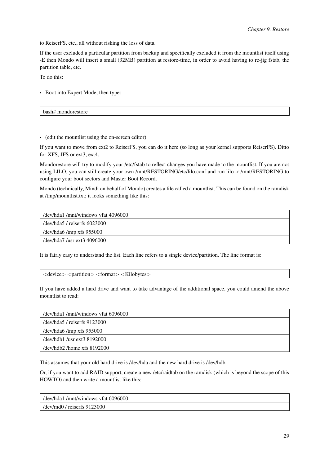to ReiserFS, etc., all without risking the loss of data.

If the user excluded a particular partition from backup and specifically excluded it from the mountlist itself using -E then Mondo will insert a small (32MB) partition at restore-time, in order to avoid having to re-jig fstab, the partition table, etc.

To do this:

• Boot into Expert Mode, then type:

bash# mondorestore

• (edit the mountlist using the on-screen editor)

If you want to move from ext2 to ReiserFS, you can do it here (so long as your kernel supports ReiserFS). Ditto for XFS, JFS or ext3, ext4.

Mondorestore will try to modify your /etc/fstab to reflect changes you have made to the mountlist. If you are not using LILO, you can still create your own /mnt/RESTORING/etc/lilo.conf and run lilo -r /mnt/RESTORING to configure your boot sectors and Master Boot Record.

Mondo (technically, Mindi on behalf of Mondo) creates a file called a mountlist. This can be found on the ramdisk at /tmp/mountlist.txt; it looks something like this:

| /dev/hda1/mnt/windows vfat 4096000 |
|------------------------------------|
| /dev/hda5 / reiserfs 6023000       |
| /dev/hda6/tmp xfs $955000$         |
| /dev/hda7 /usr ext3 4096000        |

It is fairly easy to understand the list. Each line refers to a single device/partition. The line format is:

<device> <partition> <format> <Kilobytes>

If you have added a hard drive and want to take advantage of the additional space, you could amend the above mountlist to read:

| /dev/hda1/mnt/windows vfat 6096000    |
|---------------------------------------|
| $/$ dev $/$ hda $5/$ reiserfs 9123000 |
| /dev/hda6/tmp xfs $955000$            |
| /dev/hdb1/usr ext3 $8192000$          |
| /dev/hdb2/home $xfs 8192000$          |

This assumes that your old hard drive is /dev/hda and the new hard drive is /dev/hdb.

Or, if you want to add RAID support, create a new /etc/raidtab on the ramdisk (which is beyond the scope of this HOWTO) and then write a mountlist like this:

| /dev/hda1/mnt/windows yfat 6096000 |
|------------------------------------|
| /dev/md0 / reiserfs $9123000$      |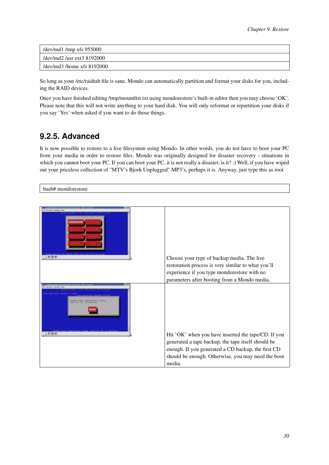| /dev/md1 /tmp xfs $955000$   |
|------------------------------|
| dev/md2 /usr ext3 8192000    |
| /dev/md3 /home xfs $8192000$ |

So long as your /etc/raidtab file is sane, Mondo can automatically partition and format your disks for you, including the RAID devices.

Once you have finished editing /tmp/mountlist.txt using mondorestore's built-in editor then you may choose 'OK'. Please note that this will not write anything to your hard disk. You will only reformat or repartition your disks if you say 'Yes' when asked if you want to do those things.

### <span id="page-33-0"></span>**9.2.5. Advanced**

It is now possible to restore to a live filesystem using Mondo. In other words, you do not have to boot your PC from your media in order to restore files. Mondo was originally designed for disaster recovery - situations in which you cannot boot your PC. If you can boot your PC, it is not really a disaster, is it? :) Well, if you have wiped out your priceless collection of "MTV's Bjork Unplugged" MP3's, perhaps it is. Anyway, just type this as root

bash# mondorestore

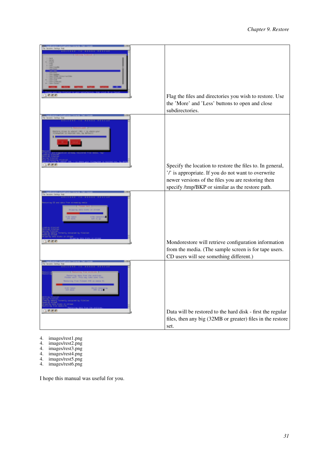| Flag the files and directories you wish to restore. Use<br>the 'More' and 'Less' buttons to open and close<br>subdirectories.                                                                                              |
|----------------------------------------------------------------------------------------------------------------------------------------------------------------------------------------------------------------------------|
| Specify the location to restore the files to. In general,<br>'/' is appropriate. If you do not want to overwrite<br>newer versions of the files you are restoring then<br>specify /tmp/BKP or similar as the restore path. |
| Mondorestore will retrieve configuration information<br>from the media. (The sample screen is for tape users.<br>CD users will see something different.)                                                                   |
| Data will be restored to the hard disk - first the regular<br>files, then any big (32MB or greater) files in the restore<br>set.                                                                                           |

4. images/rest1.png

- 4. images/rest2.png
- 4. images/rest3.png
- 4. images/rest4.png
- 4. images/rest5.png
- 4. images/rest6.png

I hope this manual was useful for you.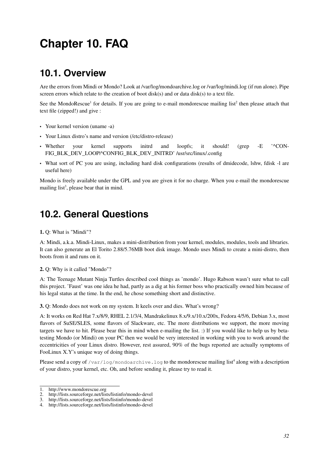# <span id="page-35-0"></span>**Chapter 10. FAQ**

### <span id="page-35-1"></span>**10.1. Overview**

Are the errors from Mindi or Mondo? Look at /var/log/mondoarchive.log or /var/log/mindi.log (if run alone). Pipe screen errors which relate to the creation of boot disk(s) and or data disk(s) to a text file.

See the MondoRescue<sup>1</sup> for details. If you are going to e-mail mondorescue mailing list<sup>2</sup> then please attach that text file (zipped!) and give :

- Your kernel version (uname -a)
- Your Linux distro's name and version (/etc/distro-release)
- Whether your kernel supports initrd and loopfs; it should! (grep -E '^CON-FIG\_BLK\_DEV\_LOOP|^CONFIG\_BLK\_DEV\_INITRD' /usr/src/linux/.config
- What sort of PC you are using, including hard disk configurations (results of dmidecode, lshw, fdisk -l are useful here)

<span id="page-35-2"></span>Mondo is freely available under the GPL and you are given it for no charge. When you e-mail the mondorescue mailing list<sup>3</sup>, please bear that in mind.

## **10.2. General Questions**

1. Q: What is "Mindi"?

A: Mindi, a.k.a. Mindi-Linux, makes a mini-distribution from your kernel, modules, modules, tools and libraries. It can also generate an El Torito 2.88/5.76MB boot disk image. Mondo uses Mindi to create a mini-distro, then boots from it and runs on it.

#### 2. Q: Why is it called "Mondo"?

A: The Teenage Mutant Ninja Turtles described cool things as 'mondo'. Hugo Rabson wasn't sure what to call this project. 'Faust' was one idea he had, partly as a dig at his former boss who practically owned him because of his legal status at the time. In the end, he chose something short and distinctive.

3. Q: Mondo does not work on my system. It keels over and dies. What's wrong?

A: It works on Red Hat 7.x/8/9, RHEL 2.1/3/4, Mandrakelinux 8.x/9.x/10.x/200x, Fedora 4/5/6, Debian 3.x, most flavors of SuSE/SLES, some flavors of Slackware, etc. The more distributions we support, the more moving targets we have to hit. Please bear this in mind when e-mailing the list. :) If you would like to help us by betatesting Mondo (or Mindi) on your PC then we would be very interested in working with you to work around the eccentricities of your Linux distro. However, rest assured, 90% of the bugs reported are actually symptoms of FooLinux X.Y's unique way of doing things.

Please send a copy of /var/log/mondoarchive . log to the mondorescue mailing list<sup>4</sup> along with a description of your distro, your kernel, etc. Oh, and before sending it, please try to read it.

<sup>1.</sup> http://www.mondorescue.org

<sup>2.</sup> http://lists.sourceforge.net/lists/listinfo/mondo-devel

<sup>3.</sup> http://lists.sourceforge.net/lists/listinfo/mondo-devel

<sup>4.</sup> http://lists.sourceforge.net/lists/listinfo/mondo-devel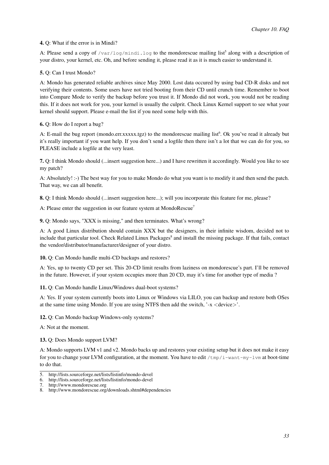#### 4. Q: What if the error is in Mindi?

A: Please send a copy of /var/log/mindi.log to the mondorescue mailing list<sup>5</sup> along with a description of your distro, your kernel, etc. Oh, and before sending it, please read it as it is much easier to understand it.

#### 5. Q: Can I trust Mondo?

A: Mondo has generated reliable archives since May 2000. Lost data occured by using bad CD-R disks and not verifying their contents. Some users have not tried booting from their CD until crunch time. Remember to boot into Compare Mode to verify the backup before you trust it. If Mondo did not work, you would not be reading this. If it does not work for you, your kernel is usually the culprit. Check [Linux Kernel support](#page-14-1) to see what your kernel should support. Please e-mail the list if you need some help with this.

#### 6. Q: How do I report a bug?

A: E-mail the bug report (mondo.err.xxxxx.tgz) to the mondorescue mailing list<sup>6</sup>. Ok you've read it already but it's really important if you want help. If you don't send a logfile then there isn't a lot that we can do for you, so PLEASE include a logfile at the very least.

7. Q: I think Mondo should (...insert suggestion here...) and I have rewritten it accordingly. Would you like to see my patch?

A: Absolutely! :-) The best way for you to make Mondo do what you want is to modify it and then send the patch. That way, we can all benefit.

8. Q: I think Mondo should (...insert suggestion here...); will you incorporate this feature for me, please?

A: Please enter the suggestion in our feature system at MondoRescue<sup>7</sup>

9. Q: Mondo says, "XXX is missing," and then terminates. What's wrong?

A: A good Linux distribution should contain XXX but the designers, in their infinite wisdom, decided not to include that particular tool. Check Related Linux Packages<sup>8</sup> and install the missing package. If that fails, contact the vendor/distributor/manufacturer/designer of your distro.

#### 10. Q: Can Mondo handle multi-CD backups and restores?

A: Yes, up to twenty CD per set. This 20-CD limit results from laziness on mondorescue's part. I'll be removed in the future. However, if your system occupies more than 20 CD, may it's time for another type of media ?

11. Q: Can Mondo handle Linux/Windows dual-boot systems?

A: Yes. If your system currently boots into Linux or Windows via LILO, you can backup and restore both OSes at the same time using Mondo. If you are using NTFS then add the switch,  $\cdot$ -x  $\lt$  device $\gt$ .

12. Q: Can Mondo backup Windows-only systems?

A: Not at the moment.

#### 13. Q: Does Mondo support LVM?

A: Mondo supports LVM v1 and v2. Mondo backs up and restores your existing setup but it does not make it easy for you to change your LVM configuration, at the moment. You have to edit  $/\text{tmp}/i\text{-want-my-lvm}$  at boot-time to do that.

<sup>5.</sup> http://lists.sourceforge.net/lists/listinfo/mondo-devel

<sup>6.</sup> http://lists.sourceforge.net/lists/listinfo/mondo-devel

<sup>7.</sup> http://www.mondorescue.org

<sup>8.</sup> http://www.mondorescue.org/downloads.shtml#dependencies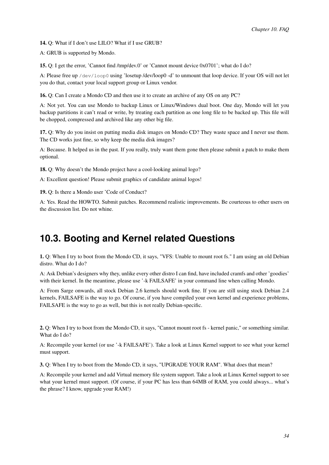14. Q: What if I don't use LILO? What if I use GRUB?

A: GRUB is supported by Mondo.

15. Q: I get the error, 'Cannot find /tmp/dev.0' or 'Cannot mount device 0x0701'; what do I do?

A: Please free up /dev/loop0 using 'losetup /dev/loop0 -d' to unmount that loop device. If your OS will not let you do that, contact your local support group or Linux vendor.

16. Q: Can I create a Mondo CD and then use it to create an archive of any OS on any PC?

A: Not yet. You can use Mondo to backup Linux or Linux/Windows dual boot. One day, Mondo will let you backup partitions it can't read or write, by treating each partition as one long file to be backed up. This file will be chopped, compressed and archived like any other big file.

17. Q: Why do you insist on putting media disk images on Mondo CD? They waste space and I never use them. The CD works just fine, so why keep the media disk images?

A: Because. It helped us in the past. If you really, truly want them gone then please submit a patch to make them optional.

18. Q: Why doesn't the Mondo project have a cool-looking animal logo?

A: Excellent question! Please submit graphics of candidate animal logos!

19. Q: Is there a Mondo user 'Code of Conduct?

<span id="page-37-0"></span>A: Yes. Read the HOWTO. Submit patches. Recommend realistic improvements. Be courteous to other users on the discussion list. Do not whine.

### **10.3. Booting and Kernel related Questions**

1. Q: When I try to boot from the Mondo CD, it says, "VFS: Unable to mount root fs." I am using an old Debian distro. What do I do?

A: Ask Debian's designers why they, unlike every other distro I can find, have included cramfs and other 'goodies' with their kernel. In the meantime, please use '-k FAILSAFE' in your command line when calling Mondo.

A: From Sarge onwards, all stock Debian 2.6 kernels should work fine. If you are still using stock Debian 2.4 kernels, FAILSAFE is the way to go. Of course, if you have compiled your own kernel and experience problems, FAILSAFE is the way to go as well, but this is not really Debian-specific.

2. Q: When I try to boot from the Mondo CD, it says, "Cannot mount root fs - kernel panic," or something similar. What do I do?

A: Recompile your kernel (or use '-k FAILSAFE'). Take a look at [Linux Kernel support](#page-14-1) to see what your kernel must support.

3. Q: When I try to boot from the Mondo CD, it says, "UPGRADE YOUR RAM". What does that mean?

A: Recompile your kernel and add Virtual memory file system support. Take a look at [Linux Kernel support](#page-14-1) to see what your kernel must support. (Of course, if your PC has less than 64MB of RAM, you could always... what's the phrase? I know, upgrade your RAM!)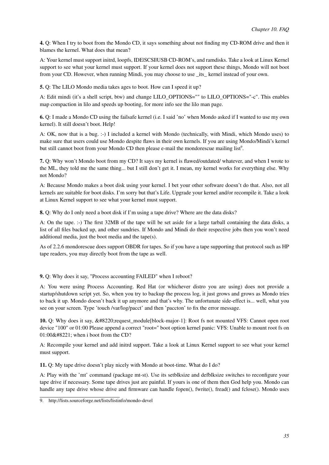4. Q: When I try to boot from the Mondo CD, it says something about not finding my CD-ROM drive and then it blames the kernel. What does that mean?

A: Your kernel must support initrd, loopfs, IDE|SCSI|USB CD-ROM's, and ramdisks. Take a look at [Linux Kernel](#page-14-1) [support](#page-14-1) to see what your kernel must support. If your kernel does not support these things, Mondo will not boot from your CD. However, when running Mindi, you may choose to use \_its\_ kernel instead of your own.

5. Q: The LILO Mondo media takes ages to boot. How can I speed it up?

A: Edit mindi (it's a shell script, btw) and change LILO\_OPTIONS="" to LILO\_OPTIONS="-c". This enables map compaction in lilo and speeds up booting, for more info see the lilo man page.

6. Q: I made a Mondo CD using the failsafe kernel (i.e. I said 'no' when Mondo asked if I wanted to use my own kernel). It still doesn't boot. Help!

A: OK, now that is a bug. :-) I included a kernel with Mondo (technically, with Mindi, which Mondo uses) to make sure that users could use Mondo despite flaws in their own kernels. If you are using Mondo/Mindi's kernel but still cannot boot from your Mondo CD then please e-mail the mondorescue mailing list<sup>9</sup>.

7. Q: Why won't Mondo boot from my CD? It says my kernel is flawed/outdated/ whatever, and when I wrote to the ML, they told me the same thing... but I still don't get it. I mean, my kernel works for everything else. Why not Mondo?

A: Because Mondo makes a boot disk using your kernel. I bet your other software doesn't do that. Also, not all kernels are suitable for boot disks. I'm sorry but that's Life. Upgrade your kernel and/or recompile it. Take a look at [Linux Kernel support](#page-14-1) to see what your kernel must support.

8. Q: Why do I only need a boot disk if I'm using a tape drive? Where are the data disks?

A: On the tape. :-) The first 32MB of the tape will be set aside for a large tarball containing the data disks, a list of all files backed up, and other sundries. If Mondo and Mindi do their respective jobs then you won't need additional media, just the boot media and the tape(s).

As of 2.2.6 mondorescue does support OBDR for tapes. So if you have a tape supporting that protocol such as HP tape readers, you may directly boot from the tape as well.

9. Q: Why does it say, "Process accounting FAILED" when I reboot?

A: You were using Process Accounting. Red Hat (or whichever distro you are using) does not provide a startup/shutdown script yet. So, when you try to backup the process log, it just grows and grows as Mondo tries to back it up. Mondo doesn't back it up anymore and that's why. The unfortunate side-effect is... well, what you see on your screen. Type 'touch /var/log/pacct' and then 'paccton' to fix the error message.

10. Q: Why does it say,  $&\#8220$ ; request module [block-major-1]: Root fs not mounted VFS: Cannot open root device "100" or 01:00 Please append a correct "root=" boot option kernel panic: VFS: Unable to mount root fs on  $01:00\&\#8221$ ; when i boot from the CD?

A: Recompile your kernel and add initrd support. Take a look at [Linux Kernel support](#page-14-1) to see what your kernel must support.

11. Q: My tape drive doesn't play nicely with Mondo at boot-time. What do I do?

A: Play with the 'mt' command (package mt-st). Use its setblksize and defblksize switches to reconfigure your tape drive if necessary. Some tape drives just are painful. If yours is one of them then God help you. Mondo can handle any tape drive whose drive and firmware can handle fopen(), fwrite(), fread() and fclose(). Mondo uses

<sup>9.</sup> http://lists.sourceforge.net/lists/listinfo/mondo-devel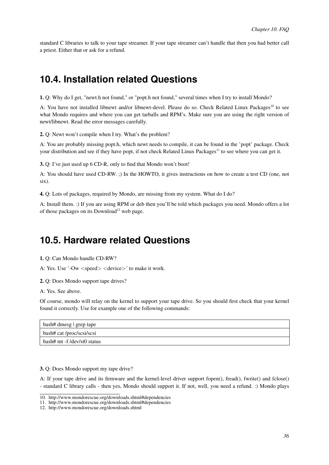standard C libraries to talk to your tape streamer. If your tape streamer can't handle that then you had better call a priest. Either that or ask for a refund.

### <span id="page-39-0"></span>**10.4. Installation related Questions**

1. Q: Why do I get, "newt.h not found," or "popt.h not found," several times when I try to install Mondo?

A: You have not installed libnewt and/or libnewt-devel. Please do so. Check Related Linux Packages<sup>10</sup> to see what Mondo requires and where you can get tarballs and RPM's. Make sure you are using the right version of newt/libnewt. Read the error messages carefully.

2. Q: Newt won't compile when I try. What's the problem?

A: You are probably missing popt.h, which newt needs to compile, it can be found in the 'popt' package. Check your distribution and see if they have popt, if not check Related Linux Packages<sup>11</sup> to see where you can get it.

3. Q: I've just used up 6 CD-R, only to find that Mondo won't boot!

A: You should have used CD-RW. ;) In the HOWTO, it gives instructions on how to create a test CD (one, not six).

4. Q: Lots of packages, required by Mondo, are missing from my system. What do I do?

A: Install them. :) If you are using RPM or deb then you'll be told which packages you need. Mondo offers a lot of those packages on its Download<sup>12</sup> web page.

### <span id="page-39-1"></span>**10.5. Hardware related Questions**

1. Q: Can Mondo handle CD-RW?

A: Yes. Use '-Ow <speed> <device>' to make it work.

2. Q: Does Mondo support tape drives?

#### A: Yes. See above.

Of course, mondo will relay on the kernel to support your tape drive. So you should first check that your kernel found it correctly. Use for example one of the following commands:

| bash# dmesg   grep tape    |
|----------------------------|
| bash# cat/proc/scsi/scsi   |
| bash# mt -f/dev/st0 status |

3. Q: Does Mondo support my tape drive?

A: If your tape drive and its firmware and the kernel-level driver support fopen(), fread(), fwrite() and fclose() - standard C library calls - then yes, Mondo should support it. If not, well, you need a refund. :) Mondo plays

<sup>10.</sup> http://www.mondorescue.org/downloads.shtml#dependencies

<sup>11.</sup> http://www.mondorescue.org/downloads.shtml#dependencies

<sup>12.</sup> http://www.mondorescue.org/downloads.shtml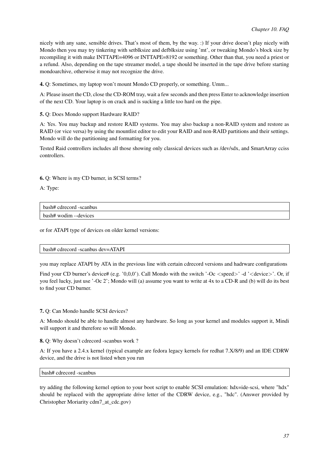nicely with any sane, sensible drives. That's most of them, by the way. :) If your drive doesn't play nicely with Mondo then you may try tinkering with setblksize and defblksize using 'mt', or tweaking Mondo's block size by recompiling it with make INTTAPE=4096 or INTTAPE=8192 or something. Other than that, you need a priest or a refund. Also, depending on the tape streamer model, a tape should be inserted in the tape drive before starting mondoarchive, otherwise it may not recognize the drive.

4. Q: Sometimes, my laptop won't mount Mondo CD properly, or something. Umm...

A: Please insert the CD, close the CD-ROM tray, wait a few seconds and then press Enter to acknowledge insertion of the next CD. Your laptop is on crack and is sucking a little too hard on the pipe.

5. Q: Does Mondo support Hardware RAID?

A: Yes. You may backup and restore RAID systems. You may also backup a non-RAID system and restore as RAID (or vice versa) by using the mountlist editor to edit your RAID and non-RAID partitions and their settings. Mondo will do the partitioning and formatting for you.

Tested Raid controllers includes all those showing only classical devices such as /dev/sdx, and SmartArray cciss controllers.

6. Q: Where is my CD burner, in SCSI terms?

A: Type:

| bash# cdrecord -scanbus |  |
|-------------------------|--|
| bash# wodim --devices   |  |

or for ATAPI type of devices on older kernel versions:

#### bash# cdrecord -scanbus dev=ATAPI

you may replace ATAPI by ATA in the previous line with certain cdrecord versions and hadrware configurations

Find your CD burner's device# (e.g. '0,0,0'). Call Mondo with the switch '-Oc  $\langle$  speed>' -d ' $\langle$  device>'. Or, if you feel lucky, just use '-Oc 2'; Mondo will (a) assume you want to write at 4x to a CD-R and (b) will do its best to find your CD burner.

7. Q: Can Mondo handle SCSI devices?

A: Mondo should be able to handle almost any hardware. So long as your kernel and modules support it, Mindi will support it and therefore so will Mondo.

8. Q: Why doesn't cdrecord -scanbus work ?

A: If you have a 2.4.x kernel (typical example are fedora legacy kernels for redhat 7.X/8/9) and an IDE CDRW device, and the drive is not listed when you run

bash# cdrecord -scanbus

<span id="page-40-0"></span>try adding the following kernel option to your boot script to enable SCSI emulation: hdx=ide-scsi, where "hdx" should be replaced with the appropriate drive letter of the CDRW device, e.g., "hdc". (Answer provided by Christopher Moriarity cdm7\_at\_cdc.gov)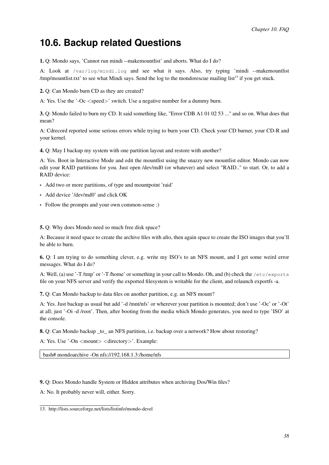### **10.6. Backup related Questions**

1. Q: Mondo says, 'Cannot run mindi --makemountlist' and aborts. What do I do?

A: Look at /var/log/mindi.log and see what it says. Also, try typing 'mindi --makemountlist /tmp/mountlist.txt' to see what Mindi says. Send the log to the mondorescue mailing list<sup>13</sup> if you get stuck.

2. Q: Can Mondo burn CD as they are created?

A: Yes. Use the '-Oc <speed>' switch. Use a negative number for a dummy burn.

3. Q: Mondo failed to burn my CD. It said something like, "Error CDB A1 01 02 53 ..." and so on. What does that mean?

A: Cdrecord reported some serious errors while trying to burn your CD. Check your CD burner, your CD-R and your kernel.

4. Q: May I backup my system with one partition layout and restore with another?

A: Yes. Boot in Interactive Mode and edit the mountlist using the snazzy new mountlist editor. Mondo can now edit your RAID partitions for you. Just open /dev/md0 (or whatever) and select "RAID.." to start. Or, to add a RAID device:

- Add two or more partitions, of type and mountpoint 'raid'
- Add device '/dev/md0' and click OK
- Follow the prompts and your own common-sense :)

5. Q: Why does Mondo need so much free disk space?

A: Because it need space to create the archive files with afio, then again space to create the ISO images that you'll be able to burn.

6. Q: I am trying to do something clever, e.g. write my ISO's to an NFS mount, and I get some weird error messages. What do I do?

A: Well, (a) use '-T/tmp' or '-T/home' or something in your call to Mondo. Oh, and (b) check the /etc/exports file on your NFS server and verify the exported filesystem is writable for the client, and relaunch exportfs -a.

7. Q: Can Mondo backup to data files on another partition, e.g. an NFS mount?

A: Yes. Just backup as usual but add '-d /mnt/nfs' or wherever your partition is mounted; don't use '-Oc' or '-Ot' at all; just '-Oi -d /root'. Then, after booting from the media which Mondo generates, you need to type 'ISO' at the console.

8. Q: Can Mondo backup \_to\_ an NFS partition, i.e. backup over a network? How about restoring?

A: Yes. Use '-On <mount> <directory>'. Example:

bash# mondoarchive -On nfs://192.168.1.3:/home/nfs

9. Q: Does Mondo handle System or Hidden attributes when archiving Dos/Win files?

A: No. It probably never will, either. Sorry.

<span id="page-41-0"></span><sup>13.</sup> http://lists.sourceforge.net/lists/listinfo/mondo-devel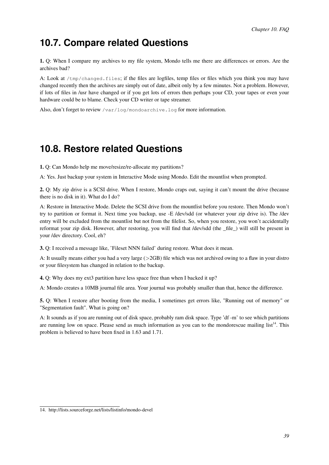### **10.7. Compare related Questions**

1. Q: When I compare my archives to my file system, Mondo tells me there are differences or errors. Are the archives bad?

A: Look at  $/$ tmp $/$ changed. files; if the files are logfiles, temp files or files which you think you may have changed recently then the archives are simply out of date, albeit only by a few minutes. Not a problem. However, if lots of files in /usr have changed or if you get lots of errors then perhaps your CD, your tapes or even your hardware could be to blame. Check your CD writer or tape streamer.

Also, don't forget to review /var/log/mondoarchive.log for more information.

### <span id="page-42-0"></span>**10.8. Restore related Questions**

1. Q: Can Mondo help me move/resize/re-allocate my partitions?

A: Yes. Just backup your system in Interactive Mode using Mondo. Edit the mountlist when prompted.

2. Q: My zip drive is a SCSI drive. When I restore, Mondo craps out, saying it can't mount the drive (because there is no disk in it). What do I do?

A: Restore in Interactive Mode. Delete the SCSI drive from the mountlist before you restore. Then Mondo won't try to partition or format it. Next time you backup, use -E /dev/sdd (or whatever your zip drive is). The /dev entry will be excluded from the mountlist but not from the filelist. So, when you restore, you won't accidentally reformat your zip disk. However, after restoring, you will find that /dev/sdd (the \_file\_) will still be present in your /dev directory. Cool, eh?

3. Q: I received a message like, 'Fileset NNN failed' during restore. What does it mean.

A: It usually means either you had a very large (>2GB) file which was not archived owing to a flaw in your distro or your filesystem has changed in relation to the backup.

4. Q: Why does my ext3 partition have less space free than when I backed it up?

A: Mondo creates a 10MB journal file area. Your journal was probably smaller than that, hence the difference.

5. Q: When I restore after booting from the media, I sometimes get errors like, "Running out of memory" or "Segmentation fault". What is going on?

A: It sounds as if you are running out of disk space, probably ram disk space. Type 'df -m' to see which partitions are running low on space. Please send as much information as you can to the mondorescue mailing list<sup>14</sup>. This problem is believed to have been fixed in 1.63 and 1.71.

<sup>14.</sup> http://lists.sourceforge.net/lists/listinfo/mondo-devel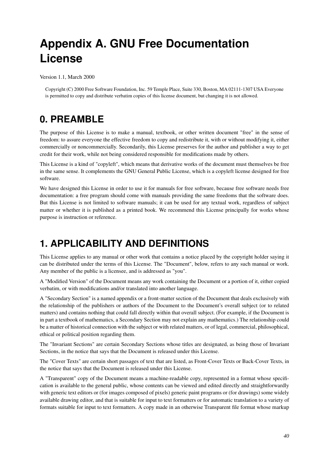# <span id="page-43-0"></span>**Appendix A. GNU Free Documentation License**

Version 1.1, March 2000

<span id="page-43-1"></span>Copyright (C) 2000 Free Software Foundation, Inc. 59 Temple Place, Suite 330, Boston, MA 02111-1307 USA Everyone is permitted to copy and distribute verbatim copies of this license document, but changing it is not allowed.

## **0. PREAMBLE**

The purpose of this License is to make a manual, textbook, or other written document "free" in the sense of freedom: to assure everyone the effective freedom to copy and redistribute it, with or without modifying it, either commercially or noncommercially. Secondarily, this License preserves for the author and publisher a way to get credit for their work, while not being considered responsible for modifications made by others.

This License is a kind of "copyleft", which means that derivative works of the document must themselves be free in the same sense. It complements the GNU General Public License, which is a copyleft license designed for free software.

We have designed this License in order to use it for manuals for free software, because free software needs free documentation: a free program should come with manuals providing the same freedoms that the software does. But this License is not limited to software manuals; it can be used for any textual work, regardless of subject matter or whether it is published as a printed book. We recommend this License principally for works whose purpose is instruction or reference.

## <span id="page-43-2"></span>**1. APPLICABILITY AND DEFINITIONS**

This License applies to any manual or other work that contains a notice placed by the copyright holder saying it can be distributed under the terms of this License. The "Document", below, refers to any such manual or work. Any member of the public is a licensee, and is addressed as "you".

A "Modified Version" of the Document means any work containing the Document or a portion of it, either copied verbatim, or with modifications and/or translated into another language.

A "Secondary Section" is a named appendix or a front-matter section of the Document that deals exclusively with the relationship of the publishers or authors of the Document to the Document's overall subject (or to related matters) and contains nothing that could fall directly within that overall subject. (For example, if the Document is in part a textbook of mathematics, a Secondary Section may not explain any mathematics.) The relationship could be a matter of historical connection with the subject or with related matters, or of legal, commercial, philosophical, ethical or political position regarding them.

The "Invariant Sections" are certain Secondary Sections whose titles are designated, as being those of Invariant Sections, in the notice that says that the Document is released under this License.

The "Cover Texts" are certain short passages of text that are listed, as Front-Cover Texts or Back-Cover Texts, in the notice that says that the Document is released under this License.

A "Transparent" copy of the Document means a machine-readable copy, represented in a format whose specification is available to the general public, whose contents can be viewed and edited directly and straightforwardly with generic text editors or (for images composed of pixels) generic paint programs or (for drawings) some widely available drawing editor, and that is suitable for input to text formatters or for automatic translation to a variety of formats suitable for input to text formatters. A copy made in an otherwise Transparent file format whose markup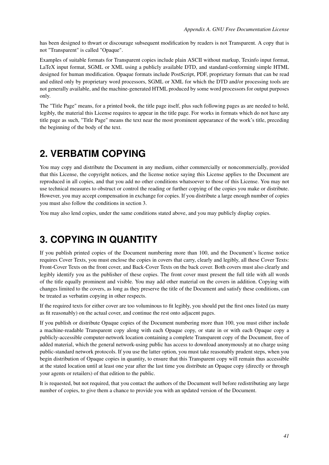has been designed to thwart or discourage subsequent modification by readers is not Transparent. A copy that is not "Transparent" is called "Opaque".

Examples of suitable formats for Transparent copies include plain ASCII without markup, Texinfo input format, LaTeX input format, SGML or XML using a publicly available DTD, and standard-conforming simple HTML designed for human modification. Opaque formats include PostScript, PDF, proprietary formats that can be read and edited only by proprietary word processors, SGML or XML for which the DTD and/or processing tools are not generally available, and the machine-generated HTML produced by some word processors for output purposes only.

The "Title Page" means, for a printed book, the title page itself, plus such following pages as are needed to hold, legibly, the material this License requires to appear in the title page. For works in formats which do not have any title page as such, "Title Page" means the text near the most prominent appearance of the work's title, preceding the beginning of the body of the text.

### <span id="page-44-0"></span>**2. VERBATIM COPYING**

You may copy and distribute the Document in any medium, either commercially or noncommercially, provided that this License, the copyright notices, and the license notice saying this License applies to the Document are reproduced in all copies, and that you add no other conditions whatsoever to those of this License. You may not use technical measures to obstruct or control the reading or further copying of the copies you make or distribute. However, you may accept compensation in exchange for copies. If you distribute a large enough number of copies you must also follow the conditions in section 3.

<span id="page-44-1"></span>You may also lend copies, under the same conditions stated above, and you may publicly display copies.

## **3. COPYING IN QUANTITY**

If you publish printed copies of the Document numbering more than 100, and the Document's license notice requires Cover Texts, you must enclose the copies in covers that carry, clearly and legibly, all these Cover Texts: Front-Cover Texts on the front cover, and Back-Cover Texts on the back cover. Both covers must also clearly and legibly identify you as the publisher of these copies. The front cover must present the full title with all words of the title equally prominent and visible. You may add other material on the covers in addition. Copying with changes limited to the covers, as long as they preserve the title of the Document and satisfy these conditions, can be treated as verbatim copying in other respects.

If the required texts for either cover are too voluminous to fit legibly, you should put the first ones listed (as many as fit reasonably) on the actual cover, and continue the rest onto adjacent pages.

If you publish or distribute Opaque copies of the Document numbering more than 100, you must either include a machine-readable Transparent copy along with each Opaque copy, or state in or with each Opaque copy a publicly-accessible computer-network location containing a complete Transparent copy of the Document, free of added material, which the general network-using public has access to download anonymously at no charge using public-standard network protocols. If you use the latter option, you must take reasonably prudent steps, when you begin distribution of Opaque copies in quantity, to ensure that this Transparent copy will remain thus accessible at the stated location until at least one year after the last time you distribute an Opaque copy (directly or through your agents or retailers) of that edition to the public.

<span id="page-44-2"></span>It is requested, but not required, that you contact the authors of the Document well before redistributing any large number of copies, to give them a chance to provide you with an updated version of the Document.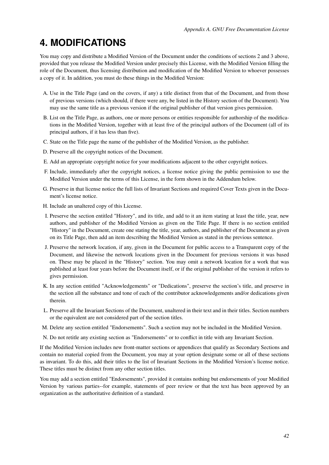## **4. MODIFICATIONS**

You may copy and distribute a Modified Version of the Document under the conditions of sections 2 and 3 above, provided that you release the Modified Version under precisely this License, with the Modified Version filling the role of the Document, thus licensing distribution and modification of the Modified Version to whoever possesses a copy of it. In addition, you must do these things in the Modified Version:

- A. Use in the Title Page (and on the covers, if any) a title distinct from that of the Document, and from those of previous versions (which should, if there were any, be listed in the History section of the Document). You may use the same title as a previous version if the original publisher of that version gives permission.
- B. List on the Title Page, as authors, one or more persons or entities responsible for authorship of the modifications in the Modified Version, together with at least five of the principal authors of the Document (all of its principal authors, if it has less than five).
- C. State on the Title page the name of the publisher of the Modified Version, as the publisher.
- D. Preserve all the copyright notices of the Document.
- E. Add an appropriate copyright notice for your modifications adjacent to the other copyright notices.
- F. Include, immediately after the copyright notices, a license notice giving the public permission to use the Modified Version under the terms of this License, in the form shown in the Addendum below.
- G. Preserve in that license notice the full lists of Invariant Sections and required Cover Texts given in the Document's license notice.
- H. Include an unaltered copy of this License.
- I. Preserve the section entitled "History", and its title, and add to it an item stating at least the title, year, new authors, and publisher of the Modified Version as given on the Title Page. If there is no section entitled "History" in the Document, create one stating the title, year, authors, and publisher of the Document as given on its Title Page, then add an item describing the Modified Version as stated in the previous sentence.
- J. Preserve the network location, if any, given in the Document for public access to a Transparent copy of the Document, and likewise the network locations given in the Document for previous versions it was based on. These may be placed in the "History" section. You may omit a network location for a work that was published at least four years before the Document itself, or if the original publisher of the version it refers to gives permission.
- K. In any section entitled "Acknowledgements" or "Dedications", preserve the section's title, and preserve in the section all the substance and tone of each of the contributor acknowledgements and/or dedications given therein.
- L. Preserve all the Invariant Sections of the Document, unaltered in their text and in their titles. Section numbers or the equivalent are not considered part of the section titles.
- M. Delete any section entitled "Endorsements". Such a section may not be included in the Modified Version.
- N. Do not retitle any existing section as "Endorsements" or to conflict in title with any Invariant Section.

If the Modified Version includes new front-matter sections or appendices that qualify as Secondary Sections and contain no material copied from the Document, you may at your option designate some or all of these sections as invariant. To do this, add their titles to the list of Invariant Sections in the Modified Version's license notice. These titles must be distinct from any other section titles.

You may add a section entitled "Endorsements", provided it contains nothing but endorsements of your Modified Version by various parties--for example, statements of peer review or that the text has been approved by an organization as the authoritative definition of a standard.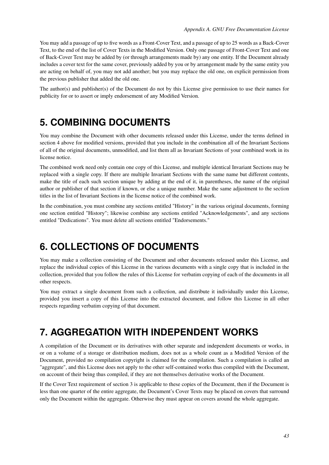You may add a passage of up to five words as a Front-Cover Text, and a passage of up to 25 words as a Back-Cover Text, to the end of the list of Cover Texts in the Modified Version. Only one passage of Front-Cover Text and one of Back-Cover Text may be added by (or through arrangements made by) any one entity. If the Document already includes a cover text for the same cover, previously added by you or by arrangement made by the same entity you are acting on behalf of, you may not add another; but you may replace the old one, on explicit permission from the previous publisher that added the old one.

The author(s) and publisher(s) of the Document do not by this License give permission to use their names for publicity for or to assert or imply endorsement of any Modified Version.

### <span id="page-46-0"></span>**5. COMBINING DOCUMENTS**

You may combine the Document with other documents released under this License, under the terms defined in section 4 above for modified versions, provided that you include in the combination all of the Invariant Sections of all of the original documents, unmodified, and list them all as Invariant Sections of your combined work in its license notice.

The combined work need only contain one copy of this License, and multiple identical Invariant Sections may be replaced with a single copy. If there are multiple Invariant Sections with the same name but different contents, make the title of each such section unique by adding at the end of it, in parentheses, the name of the original author or publisher of that section if known, or else a unique number. Make the same adjustment to the section titles in the list of Invariant Sections in the license notice of the combined work.

In the combination, you must combine any sections entitled "History" in the various original documents, forming one section entitled "History"; likewise combine any sections entitled "Acknowledgements", and any sections entitled "Dedications". You must delete all sections entitled "Endorsements."

## <span id="page-46-1"></span>**6. COLLECTIONS OF DOCUMENTS**

You may make a collection consisting of the Document and other documents released under this License, and replace the individual copies of this License in the various documents with a single copy that is included in the collection, provided that you follow the rules of this License for verbatim copying of each of the documents in all other respects.

You may extract a single document from such a collection, and distribute it individually under this License, provided you insert a copy of this License into the extracted document, and follow this License in all other respects regarding verbatim copying of that document.

## <span id="page-46-2"></span>**7. AGGREGATION WITH INDEPENDENT WORKS**

A compilation of the Document or its derivatives with other separate and independent documents or works, in or on a volume of a storage or distribution medium, does not as a whole count as a Modified Version of the Document, provided no compilation copyright is claimed for the compilation. Such a compilation is called an "aggregate", and this License does not apply to the other self-contained works thus compiled with the Document, on account of their being thus compiled, if they are not themselves derivative works of the Document.

<span id="page-46-3"></span>If the Cover Text requirement of section 3 is applicable to these copies of the Document, then if the Document is less than one quarter of the entire aggregate, the Document's Cover Texts may be placed on covers that surround only the Document within the aggregate. Otherwise they must appear on covers around the whole aggregate.